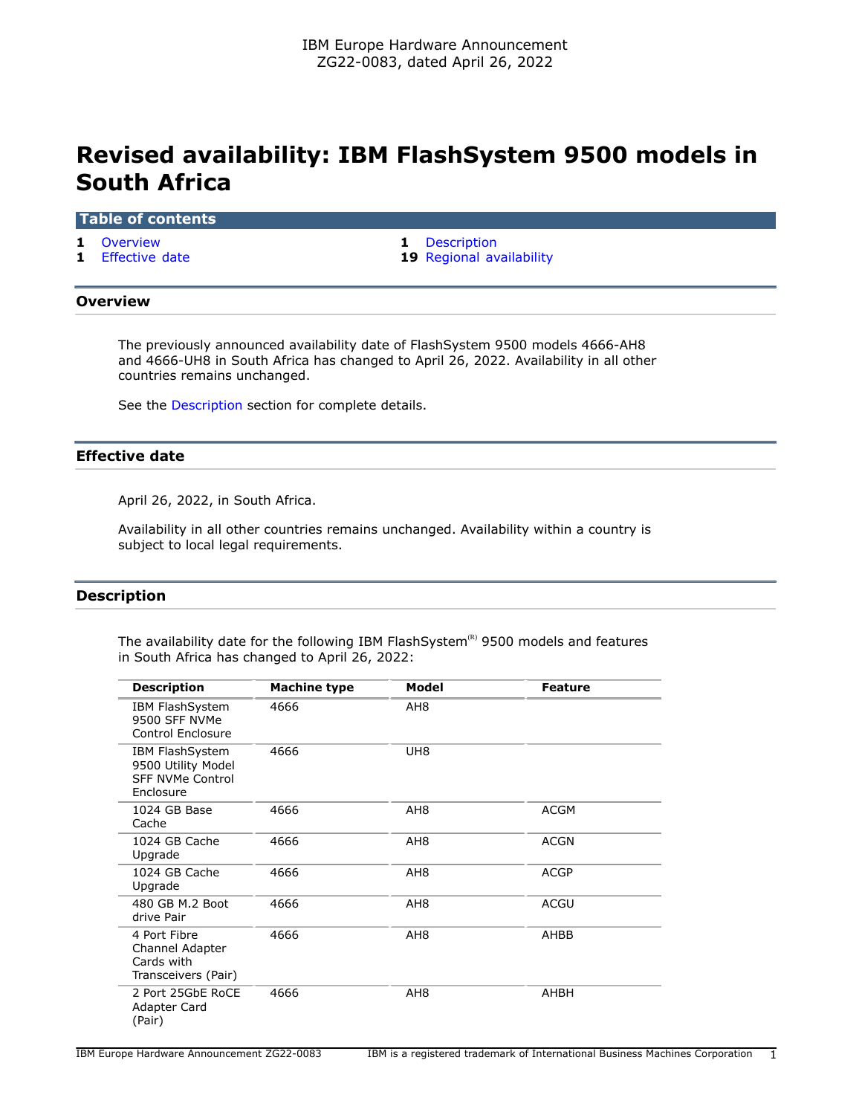# **Revised availability: IBM FlashSystem 9500 models in South Africa**

# **Table of contents**

- 
- **1** [Effective date](#page-0-2) **19** [Regional availability](#page-18-0)
- **1** [Overview](#page-0-0) **1** [Description](#page-0-1)

# <span id="page-0-0"></span>**Overview**

The previously announced availability date of FlashSystem 9500 models 4666-AH8 and 4666-UH8 in South Africa has changed to April 26, 2022. Availability in all other countries remains unchanged.

See the [Description](#page-0-1) section for complete details.

# <span id="page-0-2"></span>**Effective date**

April 26, 2022, in South Africa.

Availability in all other countries remains unchanged. Availability within a country is subject to local legal requirements.

# <span id="page-0-1"></span>**Description**

The availability date for the following IBM FlashSystem $R$ <sup>8</sup> 9500 models and features in South Africa has changed to April 26, 2022:

| <b>Description</b>                                                                   | <b>Machine type</b> | Model           | <b>Feature</b> |
|--------------------------------------------------------------------------------------|---------------------|-----------------|----------------|
| <b>IBM FlashSystem</b><br>9500 SFF NVMe<br><b>Control Enclosure</b>                  | 4666                | AH8             |                |
| <b>IBM FlashSystem</b><br>9500 Utility Model<br><b>SFF NVMe Control</b><br>Enclosure | 4666                | UH <sub>8</sub> |                |
| 1024 GB Base<br>Cache                                                                | 4666                | AH <sub>8</sub> | <b>ACGM</b>    |
| 1024 GB Cache<br>Upgrade                                                             | 4666                | AH <sub>8</sub> | <b>ACGN</b>    |
| 1024 GB Cache<br>Upgrade                                                             | 4666                | AH <sub>8</sub> | <b>ACGP</b>    |
| 480 GB M.2 Boot<br>drive Pair                                                        | 4666                | AH <sub>8</sub> | <b>ACGU</b>    |
| 4 Port Fibre<br>Channel Adapter<br>Cards with<br>Transceivers (Pair)                 | 4666                | AH <sub>8</sub> | AHBB           |
| 2 Port 25GbE RoCE<br>Adapter Card<br>(Pair)                                          | 4666                | AH <sub>8</sub> | AHBH           |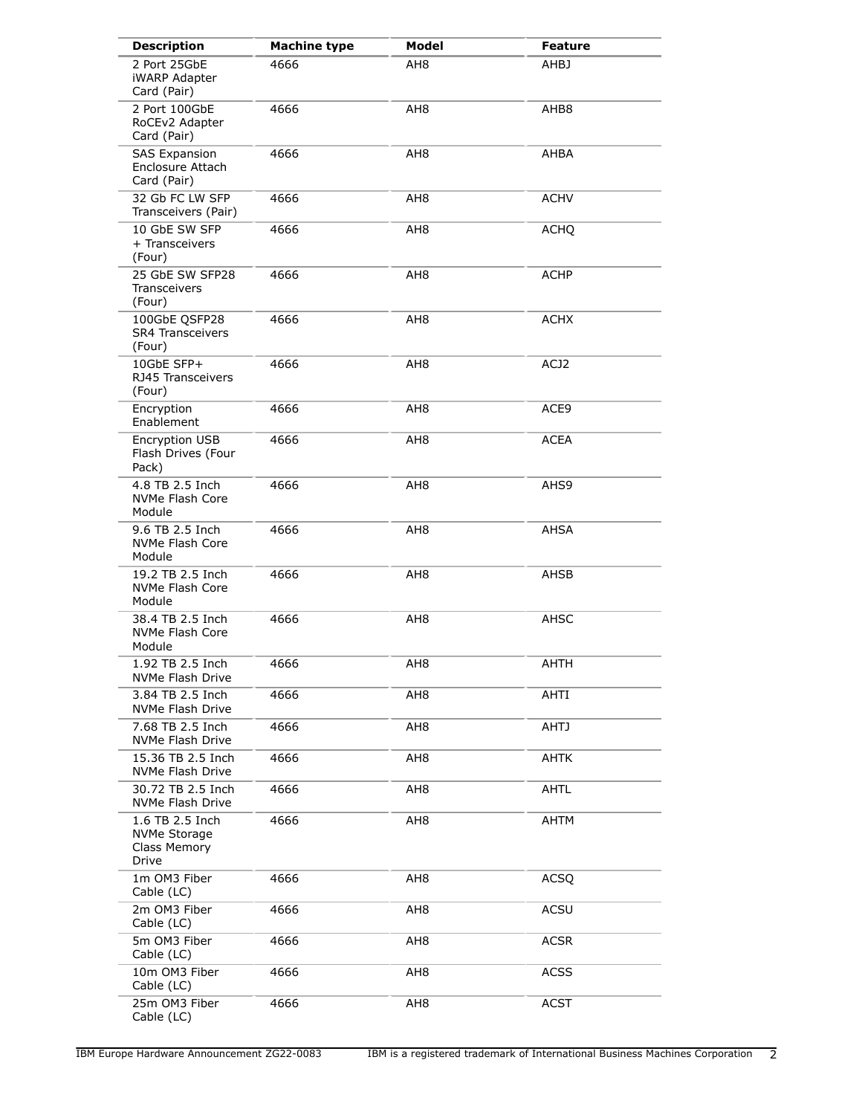| <b>Description</b>                                              | <b>Machine type</b> | <b>Model</b>    | <b>Feature</b> |
|-----------------------------------------------------------------|---------------------|-----------------|----------------|
| 2 Port 25GbE<br><b>iWARP Adapter</b><br>Card (Pair)             | 4666                | AH8             | AHBJ           |
| 2 Port 100GbE<br>RoCEv2 Adapter<br>Card (Pair)                  | 4666                | AH <sub>8</sub> | AHB8           |
| <b>SAS Expansion</b><br>Enclosure Attach<br>Card (Pair)         | 4666                | AH <sub>8</sub> | AHBA           |
| 32 Gb FC LW SFP<br>Transceivers (Pair)                          | 4666                | AH8             | <b>ACHV</b>    |
| 10 GbE SW SFP<br>+ Transceivers<br>(Four)                       | 4666                | AH <sub>8</sub> | <b>ACHQ</b>    |
| 25 GbE SW SFP28<br>Transceivers<br>(Four)                       | 4666                | AH8             | ACHP           |
| 100GbE QSFP28<br><b>SR4 Transceivers</b><br>(Four)              | 4666                | AH <sub>8</sub> | <b>ACHX</b>    |
| 10GbE SFP+<br>RJ45 Transceivers<br>(Four)                       | 4666                | AH <sub>8</sub> | ACJ2           |
| Encryption<br>Enablement                                        | 4666                | AH <sub>8</sub> | ACE9           |
| Encryption USB<br>Flash Drives (Four<br>Pack)                   | 4666                | AH <sub>8</sub> | <b>ACEA</b>    |
| 4.8 TB 2.5 Inch<br>NVMe Flash Core<br>Module                    | 4666                | AH <sub>8</sub> | AHS9           |
| 9.6 TB 2.5 Inch<br>NVMe Flash Core<br>Module                    | 4666                | AH <sub>8</sub> | AHSA           |
| 19.2 TB 2.5 Inch<br>NVMe Flash Core<br>Module                   | 4666                | AH <sub>8</sub> | AHSB           |
| 38.4 TB 2.5 Inch<br>NVMe Flash Core<br>Module                   | 4666                | AH <sub>8</sub> | AHSC           |
| 1.92 TB 2.5 Inch<br>NVMe Flash Drive                            | 4666                | AH <sub>8</sub> | <b>AHTH</b>    |
| 3.84 TB 2.5 Inch<br>NVMe Flash Drive                            | 4666                | AH8             | AHTI           |
| 7.68 TB 2.5 Inch<br>NVMe Flash Drive                            | 4666                | AH8             | <b>AHTJ</b>    |
| 15.36 TB 2.5 Inch<br>NVMe Flash Drive                           | 4666                | AH <sub>8</sub> | AHTK           |
| 30.72 TB 2.5 Inch<br>NVMe Flash Drive                           | 4666                | AH <sub>8</sub> | AHTL           |
| 1.6 TB 2.5 Inch<br><b>NVMe Storage</b><br>Class Memory<br>Drive | 4666                | AH <sub>8</sub> | AHTM           |
| 1m OM3 Fiber<br>Cable (LC)                                      | 4666                | AH8             | <b>ACSQ</b>    |
| 2m OM3 Fiber<br>Cable (LC)                                      | 4666                | AH <sub>8</sub> | <b>ACSU</b>    |
| 5m OM3 Fiber<br>Cable (LC)                                      | 4666                | AH <sub>8</sub> | <b>ACSR</b>    |
| 10m OM3 Fiber<br>Cable (LC)                                     | 4666                | AH <sub>8</sub> | <b>ACSS</b>    |
| 25m OM3 Fiber<br>Cable (LC)                                     | 4666                | AH8             | <b>ACST</b>    |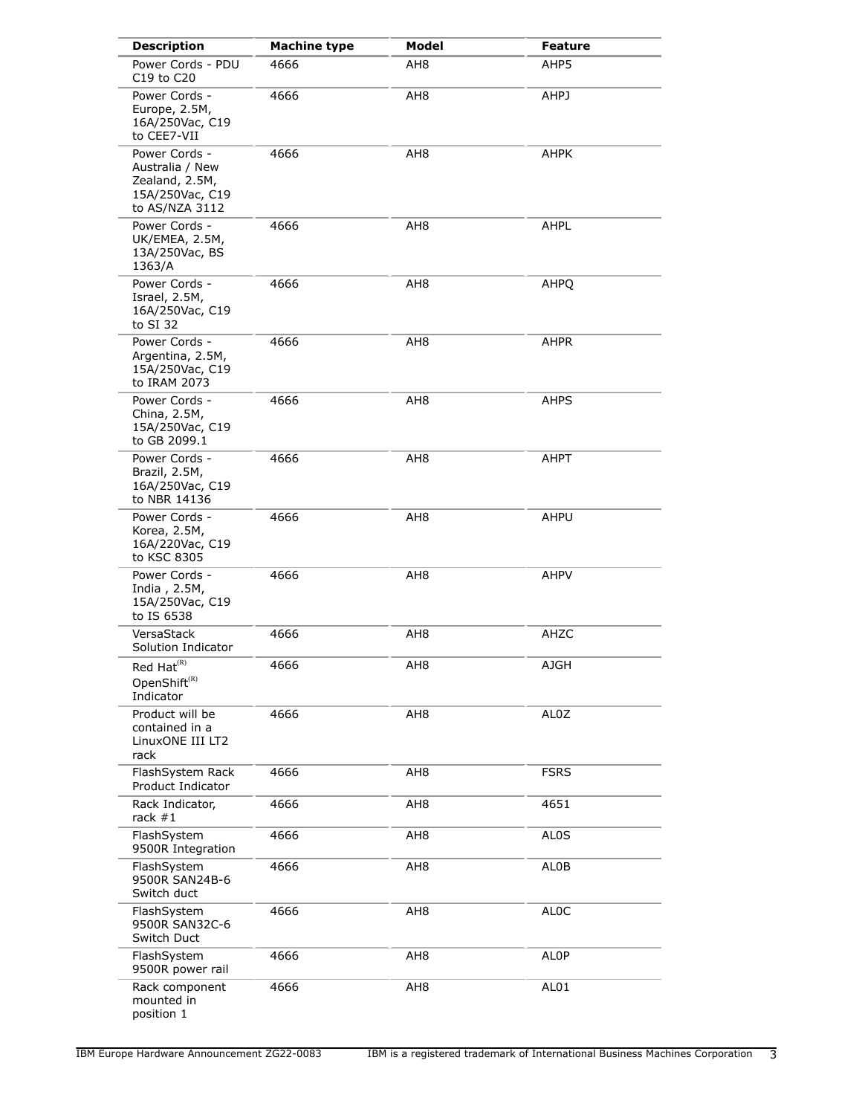| <b>Description</b>                                                                      | <b>Machine type</b> | Model           | <b>Feature</b>    |
|-----------------------------------------------------------------------------------------|---------------------|-----------------|-------------------|
| Power Cords - PDU<br>C19 to C20                                                         | 4666                | AH <sub>8</sub> | AHP5              |
| Power Cords -<br>Europe, 2.5M,<br>16A/250Vac, C19<br>to CEE7-VII                        | 4666                | AH8             | AHPJ              |
| Power Cords -<br>Australia / New<br>Zealand, 2.5M,<br>15A/250Vac, C19<br>to AS/NZA 3112 | 4666                | AH8             | AHPK              |
| Power Cords -<br>UK/EMEA, 2.5M,<br>13A/250Vac, BS<br>1363/A                             | 4666                | AH <sub>8</sub> | AHPL              |
| Power Cords -<br>Israel, 2.5M,<br>16A/250Vac, C19<br>to SI 32                           | 4666                | AH <sub>8</sub> | AHPQ              |
| Power Cords -<br>Argentina, 2.5M,<br>15A/250Vac, C19<br>to IRAM 2073                    | 4666                | AH8             | AHPR              |
| Power Cords -<br>China, 2.5M,<br>15A/250Vac, C19<br>to GB 2099.1                        | 4666                | AH8             | AHPS              |
| Power Cords -<br>Brazil, 2.5M,<br>16A/250Vac, C19<br>to NBR 14136                       | 4666                | AH8             | AHPT              |
| Power Cords -<br>Korea, 2.5M,<br>16A/220Vac, C19<br>to KSC 8305                         | 4666                | AH8             | AHPU              |
| Power Cords -<br>India, 2.5M,<br>15A/250Vac, C19<br>to IS 6538                          | 4666                | AH <sub>8</sub> | AHPV              |
| VersaStack<br>Solution Indicator                                                        | 4666                | AH8             | AHZC              |
| Red $\mathsf{Hat}^{(\mathsf{R})}$<br>OpenShift <sup>(R)</sup><br>Indicator              | 4666                | AH8             | AJGH              |
| Product will be<br>contained in a<br>LinuxONE III LT2<br>rack                           | 4666                | AH <sub>8</sub> | AL0Z              |
| FlashSystem Rack<br>Product Indicator                                                   | 4666                | AH8             | <b>FSRS</b>       |
| Rack Indicator,<br>rack $#1$                                                            | 4666                | AH <sub>8</sub> | 4651              |
| FlashSystem<br>9500R Integration                                                        | 4666                | AH <sub>8</sub> | AL <sub>0</sub> S |
| FlashSystem<br>9500R SAN24B-6<br>Switch duct                                            | 4666                | AH <sub>8</sub> | AL0B              |
| FlashSystem<br>9500R SAN32C-6<br>Switch Duct                                            | 4666                | AH <sub>8</sub> | <b>ALOC</b>       |
| FlashSystem<br>9500R power rail                                                         | 4666                | AH <sub>8</sub> | ALOP              |
| Rack component<br>mounted in<br>position 1                                              | 4666                | AH <sub>8</sub> | AL01              |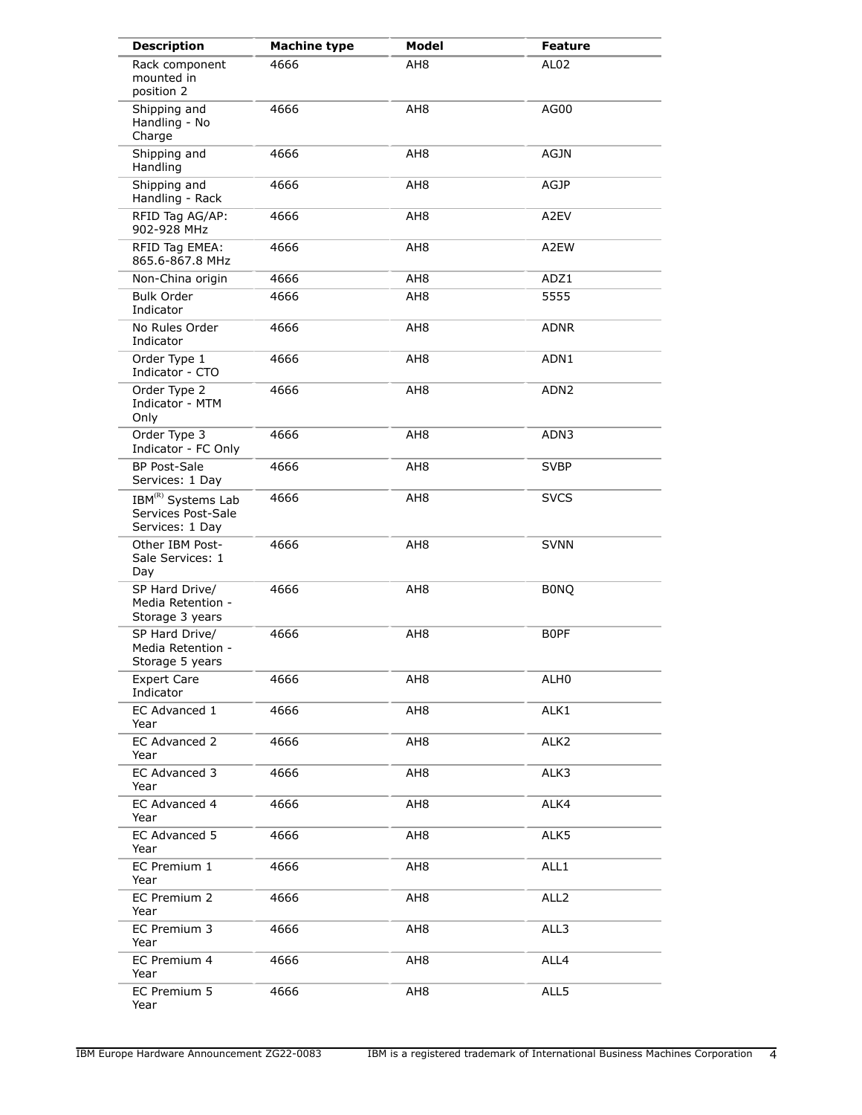| <b>Description</b>                                                      | <b>Machine type</b> | <b>Model</b>    | <b>Feature</b>   |
|-------------------------------------------------------------------------|---------------------|-----------------|------------------|
| Rack component<br>mounted in<br>position 2                              | 4666                | AH8             | AL <sub>02</sub> |
| Shipping and<br>Handling - No<br>Charge                                 | 4666                | AH <sub>8</sub> | AG00             |
| Shipping and<br>Handling                                                | 4666                | AH8             | <b>AGJN</b>      |
| Shipping and<br>Handling - Rack                                         | 4666                | AH <sub>8</sub> | <b>AGJP</b>      |
| RFID Tag AG/AP:<br>902-928 MHz                                          | 4666                | AH <sub>8</sub> | A2EV             |
| RFID Tag EMEA:<br>865.6-867.8 MHz                                       | 4666                | AH <sub>8</sub> | A2EW             |
| Non-China origin                                                        | 4666                | AH <sub>8</sub> | ADZ1             |
| <b>Bulk Order</b><br>Indicator                                          | 4666                | AH <sub>8</sub> | 5555             |
| No Rules Order<br>Indicator                                             | 4666                | AH8             | <b>ADNR</b>      |
| Order Type 1<br>Indicator - CTO                                         | 4666                | AH <sub>8</sub> | ADN1             |
| Order Type 2<br>Indicator - MTM<br>Only                                 | 4666                | AH8             | ADN <sub>2</sub> |
| Order Type 3<br>Indicator - FC Only                                     | 4666                | AH <sub>8</sub> | ADN3             |
| <b>BP Post-Sale</b><br>Services: 1 Day                                  | 4666                | AH8             | <b>SVBP</b>      |
| IBM <sup>(R)</sup> Systems Lab<br>Services Post-Sale<br>Services: 1 Day | 4666                | AH8             | <b>SVCS</b>      |
| Other IBM Post-<br>Sale Services: 1<br>Day                              | 4666                | AH <sub>8</sub> | <b>SVNN</b>      |
| SP Hard Drive/<br>Media Retention -<br>Storage 3 years                  | 4666                | AH <sub>8</sub> | <b>BONQ</b>      |
| SP Hard Drive/<br>Media Retention -<br>Storage 5 years                  | 4666                | AH <sub>8</sub> | <b>BOPF</b>      |
| <b>Expert Care</b><br>Indicator                                         | 4666                | AH <sub>8</sub> | ALH0             |
| EC Advanced 1<br>Year                                                   | 4666                | AH <sub>8</sub> | ALK1             |
| EC Advanced 2<br>Year                                                   | 4666                | AH <sub>8</sub> | ALK <sub>2</sub> |
| EC Advanced 3<br>Year                                                   | 4666                | AH <sub>8</sub> | ALK3             |
| EC Advanced 4<br>Year                                                   | 4666                | AH <sub>8</sub> | ALK4             |
| EC Advanced 5<br>Year                                                   | 4666                | AH <sub>8</sub> | ALK5             |
| EC Premium 1<br>Year                                                    | 4666                | AH <sub>8</sub> | ALL1             |
| EC Premium 2<br>Year                                                    | 4666                | AH <sub>8</sub> | ALL <sub>2</sub> |
| EC Premium 3<br>Year                                                    | 4666                | AH <sub>8</sub> | ALL3             |
| EC Premium 4<br>Year                                                    | 4666                | AH <sub>8</sub> | ALL4             |
| EC Premium 5<br>Year                                                    | 4666                | AH8             | ALL5             |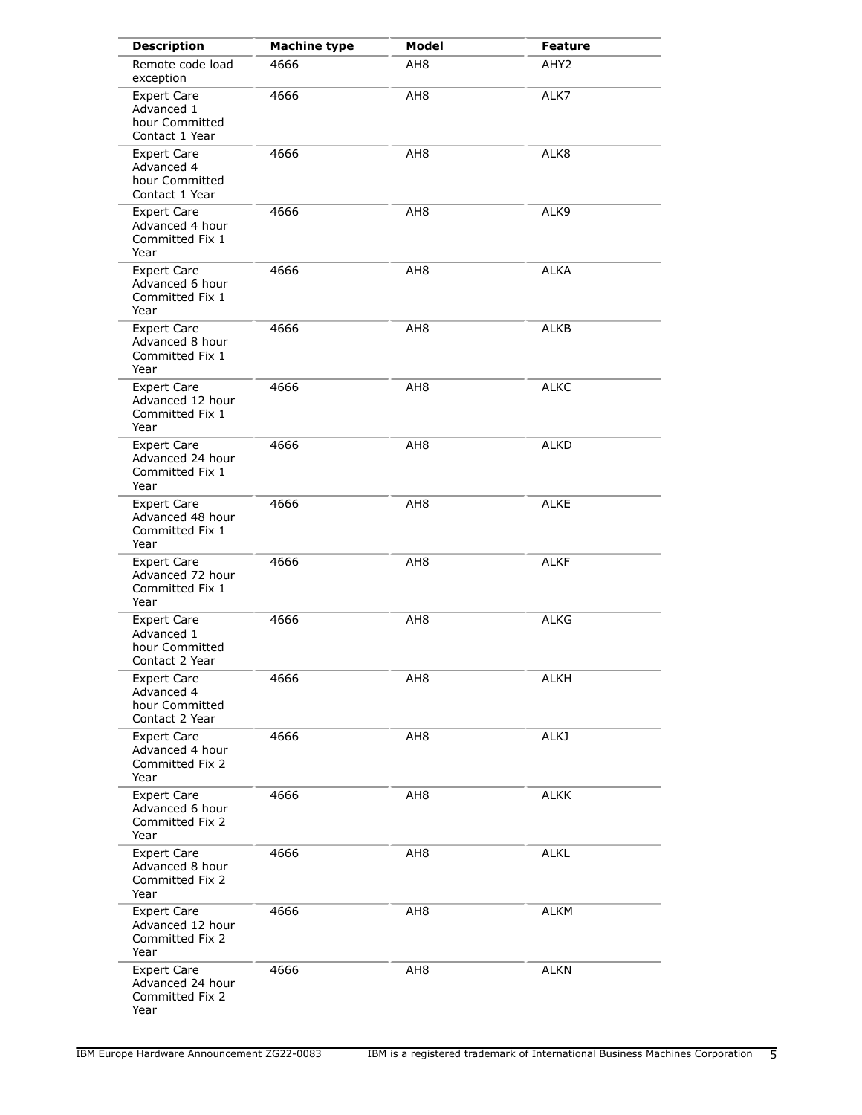| <b>Description</b>                                                   | <b>Machine type</b> | <b>Model</b>    | <b>Feature</b>   |
|----------------------------------------------------------------------|---------------------|-----------------|------------------|
| Remote code load<br>exception                                        | 4666                | AH <sub>8</sub> | AHY <sub>2</sub> |
| <b>Expert Care</b><br>Advanced 1<br>hour Committed<br>Contact 1 Year | 4666                | AH <sub>8</sub> | ALK7             |
| <b>Expert Care</b><br>Advanced 4<br>hour Committed<br>Contact 1 Year | 4666                | AH <sub>8</sub> | ALK8             |
| <b>Expert Care</b><br>Advanced 4 hour<br>Committed Fix 1<br>Year     | 4666                | AH <sub>8</sub> | ALK9             |
| <b>Expert Care</b><br>Advanced 6 hour<br>Committed Fix 1<br>Year     | 4666                | AH <sub>8</sub> | <b>ALKA</b>      |
| <b>Expert Care</b><br>Advanced 8 hour<br>Committed Fix 1<br>Year     | 4666                | AH <sub>8</sub> | <b>ALKB</b>      |
| <b>Expert Care</b><br>Advanced 12 hour<br>Committed Fix 1<br>Year    | 4666                | AH <sub>8</sub> | <b>ALKC</b>      |
| <b>Expert Care</b><br>Advanced 24 hour<br>Committed Fix 1<br>Year    | 4666                | AH <sub>8</sub> | <b>ALKD</b>      |
| <b>Expert Care</b><br>Advanced 48 hour<br>Committed Fix 1<br>Year    | 4666                | AH <sub>8</sub> | <b>ALKE</b>      |
| <b>Expert Care</b><br>Advanced 72 hour<br>Committed Fix 1<br>Year    | 4666                | AH8             | ALKF             |
| <b>Expert Care</b><br>Advanced 1<br>hour Committed<br>Contact 2 Year | 4666                | AH <sub>8</sub> | <b>ALKG</b>      |
| <b>Expert Care</b><br>Advanced 4<br>hour Committed<br>Contact 2 Year | 4666                | AH <sub>8</sub> | <b>ALKH</b>      |
| <b>Expert Care</b><br>Advanced 4 hour<br>Committed Fix 2<br>Year     | 4666                | AH <sub>8</sub> | ALKJ             |
| <b>Expert Care</b><br>Advanced 6 hour<br>Committed Fix 2<br>Year     | 4666                | AH <sub>8</sub> | <b>ALKK</b>      |
| <b>Expert Care</b><br>Advanced 8 hour<br>Committed Fix 2<br>Year     | 4666                | AH8             | <b>ALKL</b>      |
| <b>Expert Care</b><br>Advanced 12 hour<br>Committed Fix 2<br>Year    | 4666                | AH <sub>8</sub> | <b>ALKM</b>      |
| <b>Expert Care</b><br>Advanced 24 hour<br>Committed Fix 2<br>Year    | 4666                | AH <sub>8</sub> | <b>ALKN</b>      |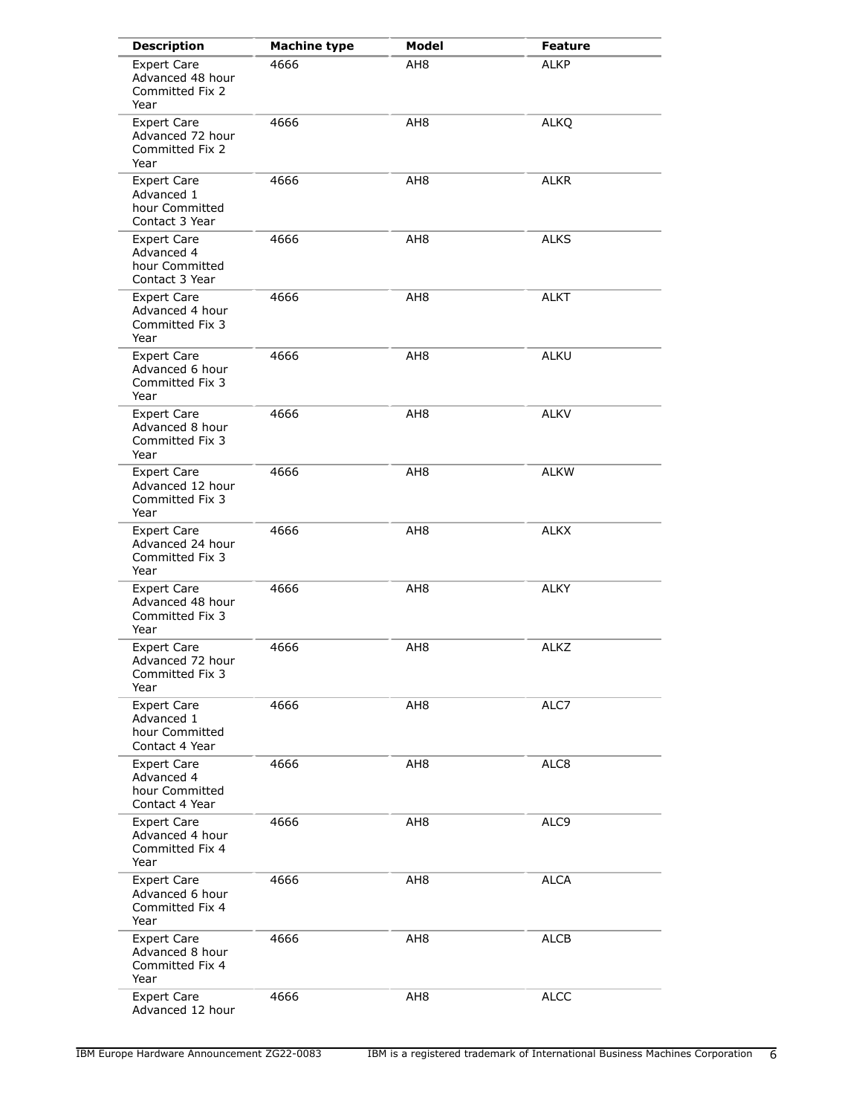| <b>Description</b>                                                   | <b>Machine type</b> | Model           | <b>Feature</b> |
|----------------------------------------------------------------------|---------------------|-----------------|----------------|
| <b>Expert Care</b><br>Advanced 48 hour<br>Committed Fix 2<br>Year    | 4666                | AH <sub>8</sub> | <b>ALKP</b>    |
| <b>Expert Care</b><br>Advanced 72 hour<br>Committed Fix 2<br>Year    | 4666                | AH <sub>8</sub> | <b>ALKQ</b>    |
| <b>Expert Care</b><br>Advanced 1<br>hour Committed<br>Contact 3 Year | 4666                | AH8             | ALKR           |
| <b>Expert Care</b><br>Advanced 4<br>hour Committed<br>Contact 3 Year | 4666                | AH <sub>8</sub> | <b>ALKS</b>    |
| <b>Expert Care</b><br>Advanced 4 hour<br>Committed Fix 3<br>Year     | 4666                | AH <sub>8</sub> | <b>ALKT</b>    |
| <b>Expert Care</b><br>Advanced 6 hour<br>Committed Fix 3<br>Year     | 4666                | AH <sub>8</sub> | <b>ALKU</b>    |
| <b>Expert Care</b><br>Advanced 8 hour<br>Committed Fix 3<br>Year     | 4666                | AH <sub>8</sub> | <b>ALKV</b>    |
| <b>Expert Care</b><br>Advanced 12 hour<br>Committed Fix 3<br>Year    | 4666                | AH <sub>8</sub> | <b>ALKW</b>    |
| <b>Expert Care</b><br>Advanced 24 hour<br>Committed Fix 3<br>Year    | 4666                | AH <sub>8</sub> | <b>ALKX</b>    |
| <b>Expert Care</b><br>Advanced 48 hour<br>Committed Fix 3<br>Year    | 4666                | AH <sub>8</sub> | <b>ALKY</b>    |
| <b>Expert Care</b><br>Advanced 72 hour<br>Committed Fix 3<br>Year    | 4666                | AH8             | <b>ALKZ</b>    |
| <b>Expert Care</b><br>Advanced 1<br>hour Committed<br>Contact 4 Year | 4666                | AH <sub>8</sub> | ALC7           |
| <b>Expert Care</b><br>Advanced 4<br>hour Committed<br>Contact 4 Year | 4666                | AH8             | ALC8           |
| <b>Expert Care</b><br>Advanced 4 hour<br>Committed Fix 4<br>Year     | 4666                | AH <sub>8</sub> | ALC9           |
| <b>Expert Care</b><br>Advanced 6 hour<br>Committed Fix 4<br>Year     | 4666                | AH8             | ALCA           |
| <b>Expert Care</b><br>Advanced 8 hour<br>Committed Fix 4<br>Year     | 4666                | AH <sub>8</sub> | ALCB           |
| <b>Expert Care</b><br>Advanced 12 hour                               | 4666                | AH <sub>8</sub> | <b>ALCC</b>    |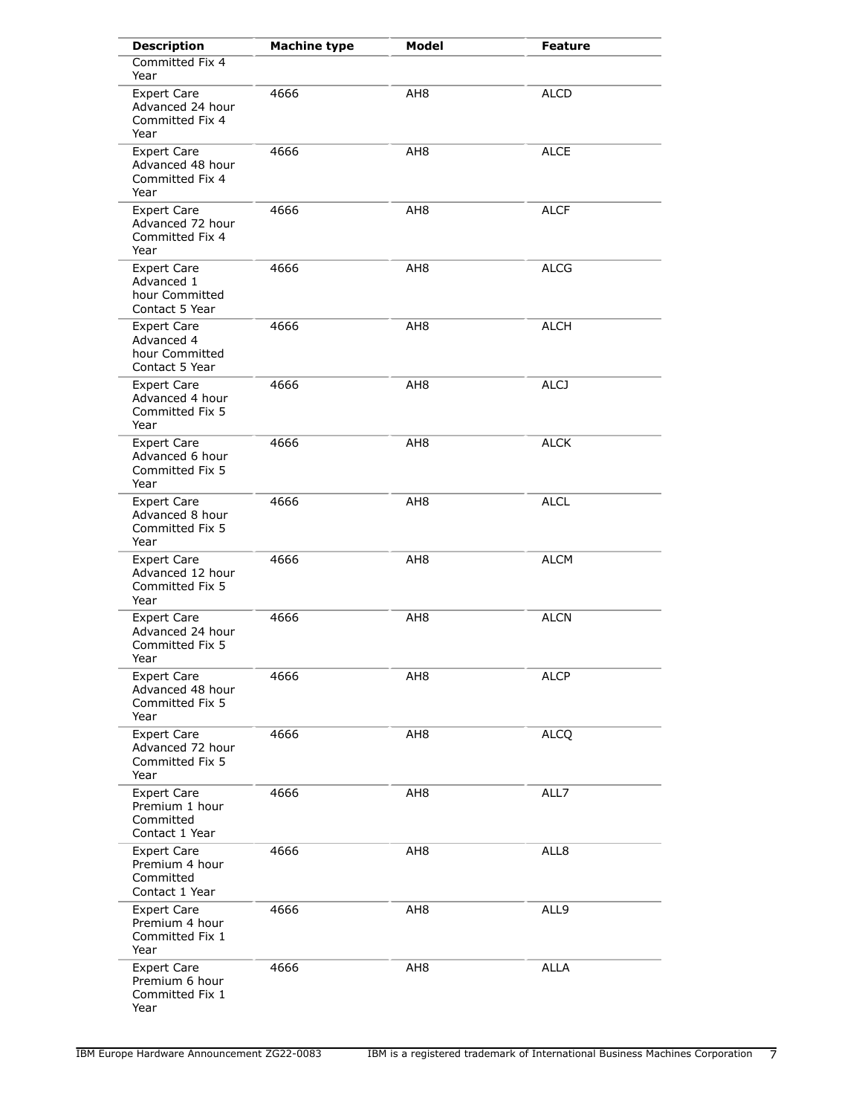| <b>Description</b>                                                   | <b>Machine type</b> | Model           | <b>Feature</b> |
|----------------------------------------------------------------------|---------------------|-----------------|----------------|
| Committed Fix 4<br>Year                                              |                     |                 |                |
| <b>Expert Care</b><br>Advanced 24 hour<br>Committed Fix 4<br>Year    | 4666                | AH <sub>8</sub> | <b>ALCD</b>    |
| <b>Expert Care</b><br>Advanced 48 hour<br>Committed Fix 4<br>Year    | 4666                | AH <sub>8</sub> | ALCE           |
| <b>Expert Care</b><br>Advanced 72 hour<br>Committed Fix 4<br>Year    | 4666                | AH <sub>8</sub> | <b>ALCF</b>    |
| <b>Expert Care</b><br>Advanced 1<br>hour Committed<br>Contact 5 Year | 4666                | AH8             | <b>ALCG</b>    |
| <b>Expert Care</b><br>Advanced 4<br>hour Committed<br>Contact 5 Year | 4666                | AH <sub>8</sub> | <b>ALCH</b>    |
| <b>Expert Care</b><br>Advanced 4 hour<br>Committed Fix 5<br>Year     | 4666                | AH <sub>8</sub> | <b>ALCJ</b>    |
| <b>Expert Care</b><br>Advanced 6 hour<br>Committed Fix 5<br>Year     | 4666                | AH8             | <b>ALCK</b>    |
| <b>Expert Care</b><br>Advanced 8 hour<br>Committed Fix 5<br>Year     | 4666                | AH <sub>8</sub> | <b>ALCL</b>    |
| <b>Expert Care</b><br>Advanced 12 hour<br>Committed Fix 5<br>Year    | 4666                | AH <sub>8</sub> | <b>ALCM</b>    |
| <b>Expert Care</b><br>Advanced 24 hour<br>Committed Fix 5<br>Year    | 4666                | AH <sub>8</sub> | <b>ALCN</b>    |
| <b>Expert Care</b><br>Advanced 48 hour<br>Committed Fix 5<br>Year    | 4666                | AH <sub>8</sub> | <b>ALCP</b>    |
| <b>Expert Care</b><br>Advanced 72 hour<br>Committed Fix 5<br>Year    | 4666                | AH8             | <b>ALCQ</b>    |
| Expert Care<br>Premium 1 hour<br>Committed<br>Contact 1 Year         | 4666                | AH <sub>8</sub> | ALL7           |
| <b>Expert Care</b><br>Premium 4 hour<br>Committed<br>Contact 1 Year  | 4666                | AH <sub>8</sub> | ALL8           |
| <b>Expert Care</b><br>Premium 4 hour<br>Committed Fix 1<br>Year      | 4666                | AH <sub>8</sub> | ALL9           |
| <b>Expert Care</b><br>Premium 6 hour<br>Committed Fix 1<br>Year      | 4666                | AH <sub>8</sub> | <b>ALLA</b>    |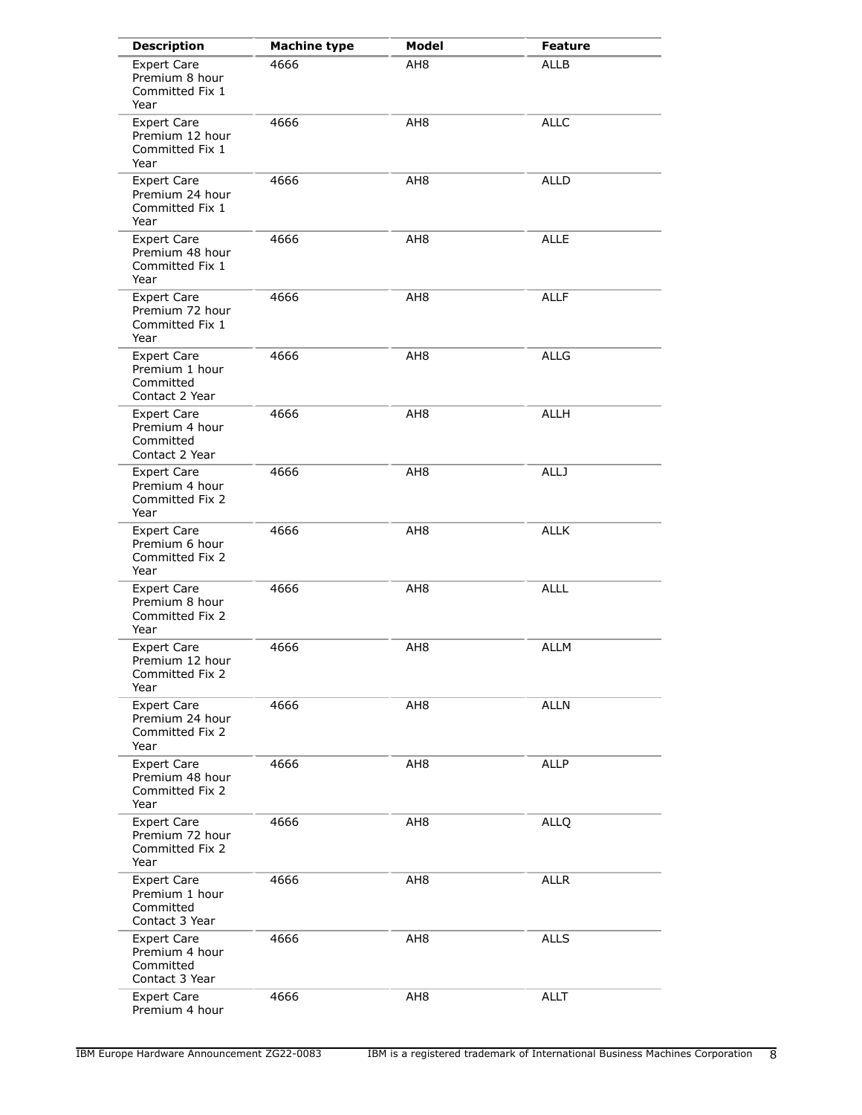| <b>Description</b>                                                  | <b>Machine type</b> | Model           | Feature     |
|---------------------------------------------------------------------|---------------------|-----------------|-------------|
| <b>Expert Care</b><br>Premium 8 hour<br>Committed Fix 1<br>Year     | 4666                | AH <sub>8</sub> | <b>ALLB</b> |
| <b>Expert Care</b><br>Premium 12 hour<br>Committed Fix 1<br>Year    | 4666                | AH <sub>8</sub> | <b>ALLC</b> |
| <b>Expert Care</b><br>Premium 24 hour<br>Committed Fix 1<br>Year    | 4666                | AH8             | <b>ALLD</b> |
| <b>Expert Care</b><br>Premium 48 hour<br>Committed Fix 1<br>Year    | 4666                | AH <sub>8</sub> | <b>ALLE</b> |
| <b>Expert Care</b><br>Premium 72 hour<br>Committed Fix 1<br>Year    | 4666                | AH <sub>8</sub> | <b>ALLF</b> |
| <b>Expert Care</b><br>Premium 1 hour<br>Committed<br>Contact 2 Year | 4666                | AH <sub>8</sub> | <b>ALLG</b> |
| <b>Expert Care</b><br>Premium 4 hour<br>Committed<br>Contact 2 Year | 4666                | AH <sub>8</sub> | <b>ALLH</b> |
| <b>Expert Care</b><br>Premium 4 hour<br>Committed Fix 2<br>Year     | 4666                | AH <sub>8</sub> | <b>ALLJ</b> |
| <b>Expert Care</b><br>Premium 6 hour<br>Committed Fix 2<br>Year     | 4666                | AH <sub>8</sub> | <b>ALLK</b> |
| <b>Expert Care</b><br>Premium 8 hour<br>Committed Fix 2<br>Year     | 4666                | AH <sub>8</sub> | <b>ALLL</b> |
| <b>Expert Care</b><br>Premium 12 hour<br>Committed Fix 2<br>Year    | 4666                | AH8             | <b>ALLM</b> |
| <b>Expert Care</b><br>Premium 24 hour<br>Committed Fix 2<br>Year    | 4666                | AH <sub>8</sub> | <b>ALLN</b> |
| <b>Expert Care</b><br>Premium 48 hour<br>Committed Fix 2<br>Year    | 4666                | AH8             | <b>ALLP</b> |
| <b>Expert Care</b><br>Premium 72 hour<br>Committed Fix 2<br>Year    | 4666                | AH <sub>8</sub> | <b>ALLQ</b> |
| <b>Expert Care</b><br>Premium 1 hour<br>Committed<br>Contact 3 Year | 4666                | AH8             | <b>ALLR</b> |
| <b>Expert Care</b><br>Premium 4 hour<br>Committed<br>Contact 3 Year | 4666                | AH <sub>8</sub> | <b>ALLS</b> |
| <b>Expert Care</b><br>Premium 4 hour                                | 4666                | AH <sub>8</sub> | <b>ALLT</b> |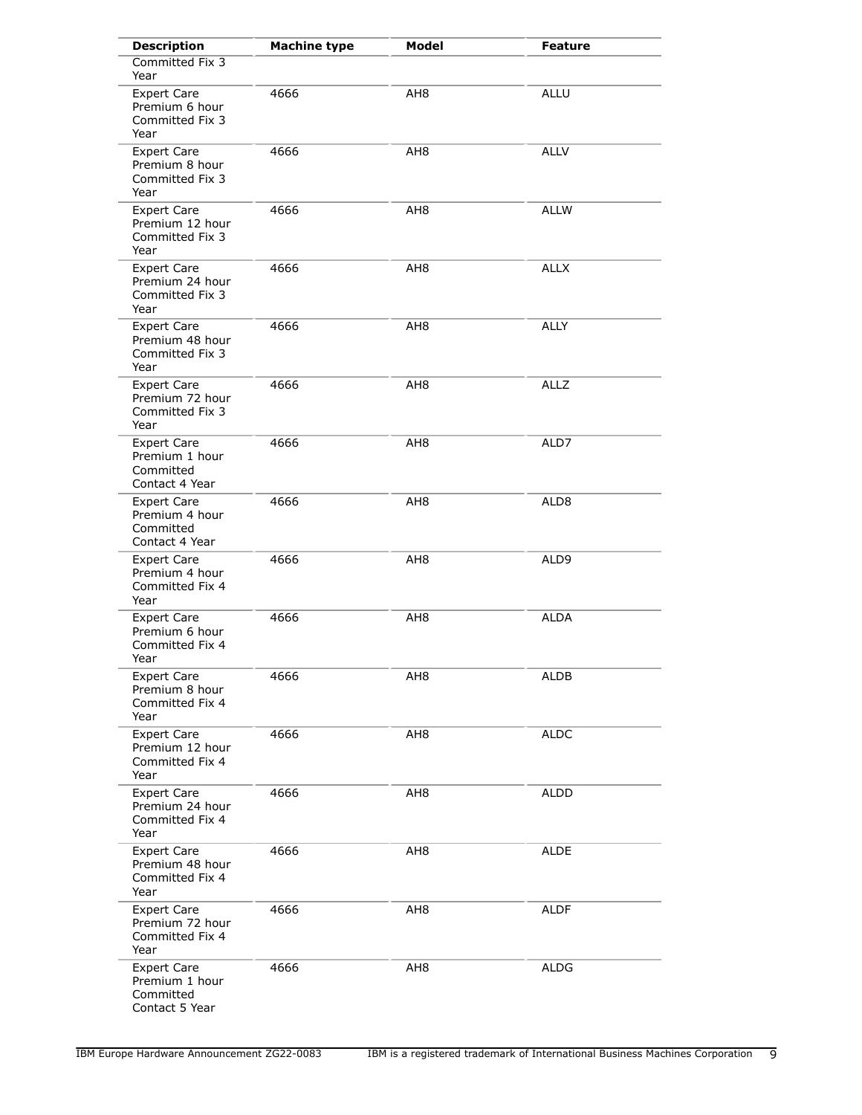| <b>Description</b>                                                  | <b>Machine type</b> | <b>Model</b>    | Feature     |
|---------------------------------------------------------------------|---------------------|-----------------|-------------|
| Committed Fix 3<br>Year                                             |                     |                 |             |
| <b>Expert Care</b><br>Premium 6 hour<br>Committed Fix 3<br>Year     | 4666                | AH <sub>8</sub> | <b>ALLU</b> |
| <b>Expert Care</b><br>Premium 8 hour<br>Committed Fix 3<br>Year     | 4666                | AH8             | <b>ALLV</b> |
| <b>Expert Care</b><br>Premium 12 hour<br>Committed Fix 3<br>Year    | 4666                | AH8             | <b>ALLW</b> |
| <b>Expert Care</b><br>Premium 24 hour<br>Committed Fix 3<br>Year    | 4666                | AH <sub>8</sub> | <b>ALLX</b> |
| <b>Expert Care</b><br>Premium 48 hour<br>Committed Fix 3<br>Year    | 4666                | AH <sub>8</sub> | <b>ALLY</b> |
| <b>Expert Care</b><br>Premium 72 hour<br>Committed Fix 3<br>Year    | 4666                | AH <sub>8</sub> | <b>ALLZ</b> |
| <b>Expert Care</b><br>Premium 1 hour<br>Committed<br>Contact 4 Year | 4666                | AH8             | ALD7        |
| <b>Expert Care</b><br>Premium 4 hour<br>Committed<br>Contact 4 Year | 4666                | AH8             | ALD8        |
| <b>Expert Care</b><br>Premium 4 hour<br>Committed Fix 4<br>Year     | 4666                | AH <sub>8</sub> | ALD9        |
| <b>Expert Care</b><br>Premium 6 hour<br>Committed Fix 4<br>Year     | 4666                | AH <sub>8</sub> | ALDA        |
| <b>Expert Care</b><br>Premium 8 hour<br>Committed Fix 4<br>Year     | 4666                | AH <sub>8</sub> | <b>ALDB</b> |
| <b>Expert Care</b><br>Premium 12 hour<br>Committed Fix 4<br>Year    | 4666                | AH8             | <b>ALDC</b> |
| <b>Expert Care</b><br>Premium 24 hour<br>Committed Fix 4<br>Year    | 4666                | AH8             | <b>ALDD</b> |
| <b>Expert Care</b><br>Premium 48 hour<br>Committed Fix 4<br>Year    | 4666                | AH <sub>8</sub> | <b>ALDE</b> |
| <b>Expert Care</b><br>Premium 72 hour<br>Committed Fix 4<br>Year    | 4666                | AH8             | <b>ALDF</b> |
| <b>Expert Care</b><br>Premium 1 hour<br>Committed<br>Contact 5 Year | 4666                | AH <sub>8</sub> | <b>ALDG</b> |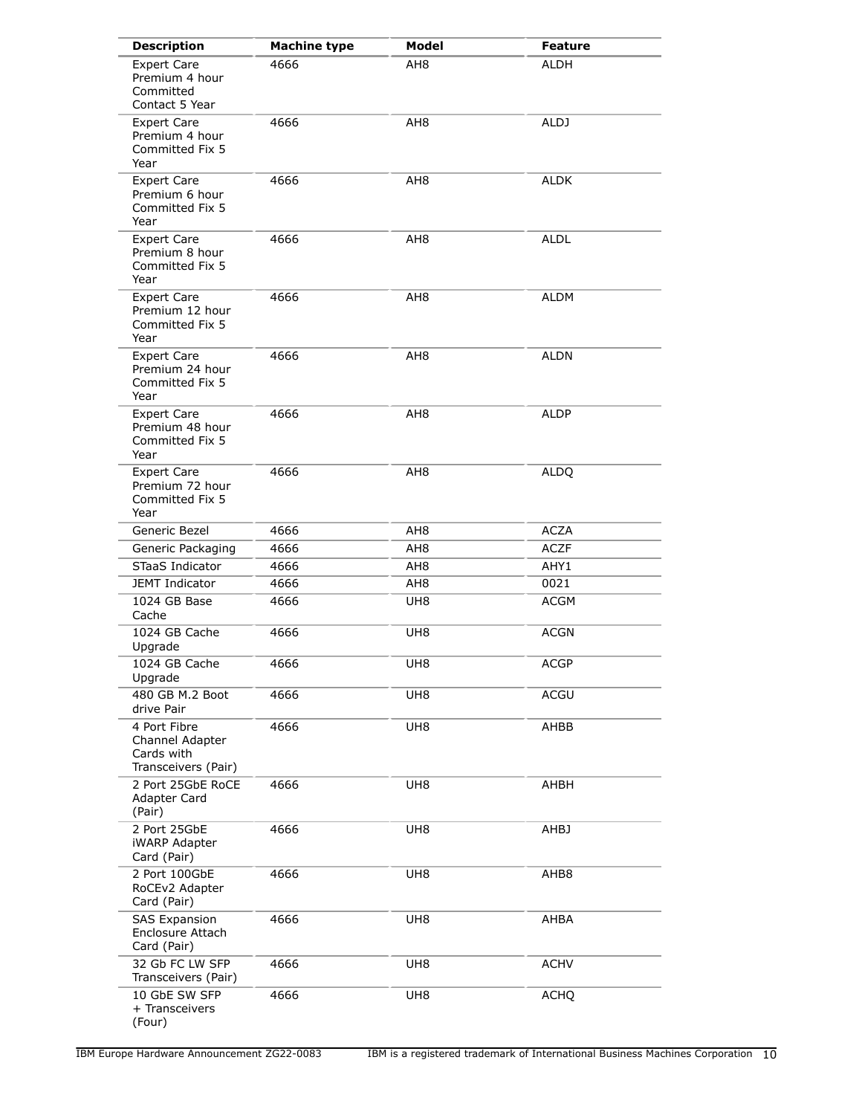| <b>Description</b>                                                   | <b>Machine type</b> | Model           | <b>Feature</b> |
|----------------------------------------------------------------------|---------------------|-----------------|----------------|
| <b>Expert Care</b><br>Premium 4 hour<br>Committed<br>Contact 5 Year  | 4666                | AH8             | <b>ALDH</b>    |
| <b>Expert Care</b><br>Premium 4 hour<br>Committed Fix 5<br>Year      | 4666                | AH8             | ALDJ           |
| <b>Expert Care</b><br>Premium 6 hour<br>Committed Fix 5<br>Year      | 4666                | AH <sub>8</sub> | <b>ALDK</b>    |
| <b>Expert Care</b><br>Premium 8 hour<br>Committed Fix 5<br>Year      | 4666                | AH <sub>8</sub> | <b>ALDL</b>    |
| <b>Expert Care</b><br>Premium 12 hour<br>Committed Fix 5<br>Year     | 4666                | AH <sub>8</sub> | <b>ALDM</b>    |
| <b>Expert Care</b><br>Premium 24 hour<br>Committed Fix 5<br>Year     | 4666                | AH <sub>8</sub> | <b>ALDN</b>    |
| <b>Expert Care</b><br>Premium 48 hour<br>Committed Fix 5<br>Year     | 4666                | AH8             | <b>ALDP</b>    |
| <b>Expert Care</b><br>Premium 72 hour<br>Committed Fix 5<br>Year     | 4666                | AH <sub>8</sub> | <b>ALDQ</b>    |
| Generic Bezel                                                        | 4666                | AH8             | <b>ACZA</b>    |
| Generic Packaging                                                    | 4666                | AH <sub>8</sub> | <b>ACZF</b>    |
| STaaS Indicator                                                      | 4666                | AH <sub>8</sub> | AHY1           |
| <b>JEMT Indicator</b>                                                | 4666                | AH <sub>8</sub> | 0021           |
| 1024 GB Base<br>Cache                                                | 4666                | UH <sub>8</sub> | <b>ACGM</b>    |
| 1024 GB Cache<br>Upgrade                                             | 4666                | UH <sub>8</sub> | <b>ACGN</b>    |
| 1024 GB Cache<br>Upgrade                                             | 4666                | UH <sub>8</sub> | <b>ACGP</b>    |
| 480 GB M.2 Boot<br>drive Pair                                        | 4666                | UH8             | <b>ACGU</b>    |
| 4 Port Fibre<br>Channel Adapter<br>Cards with<br>Transceivers (Pair) | 4666                | UH8             | AHBB           |
| 2 Port 25GbE RoCE<br><b>Adapter Card</b><br>(Pair)                   | 4666                | UH <sub>8</sub> | AHBH           |
| 2 Port 25GbE<br><b>iWARP Adapter</b><br>Card (Pair)                  | 4666                | UH <sub>8</sub> | AHBJ           |
| 2 Port 100GbE<br>RoCEv2 Adapter<br>Card (Pair)                       | 4666                | UH8             | AHB8           |
| <b>SAS Expansion</b><br>Enclosure Attach<br>Card (Pair)              | 4666                | UH8             | AHBA           |
| 32 Gb FC LW SFP<br>Transceivers (Pair)                               | 4666                | UH8             | <b>ACHV</b>    |
| 10 GbE SW SFP<br>+ Transceivers<br>(Four)                            | 4666                | UH8             | <b>ACHQ</b>    |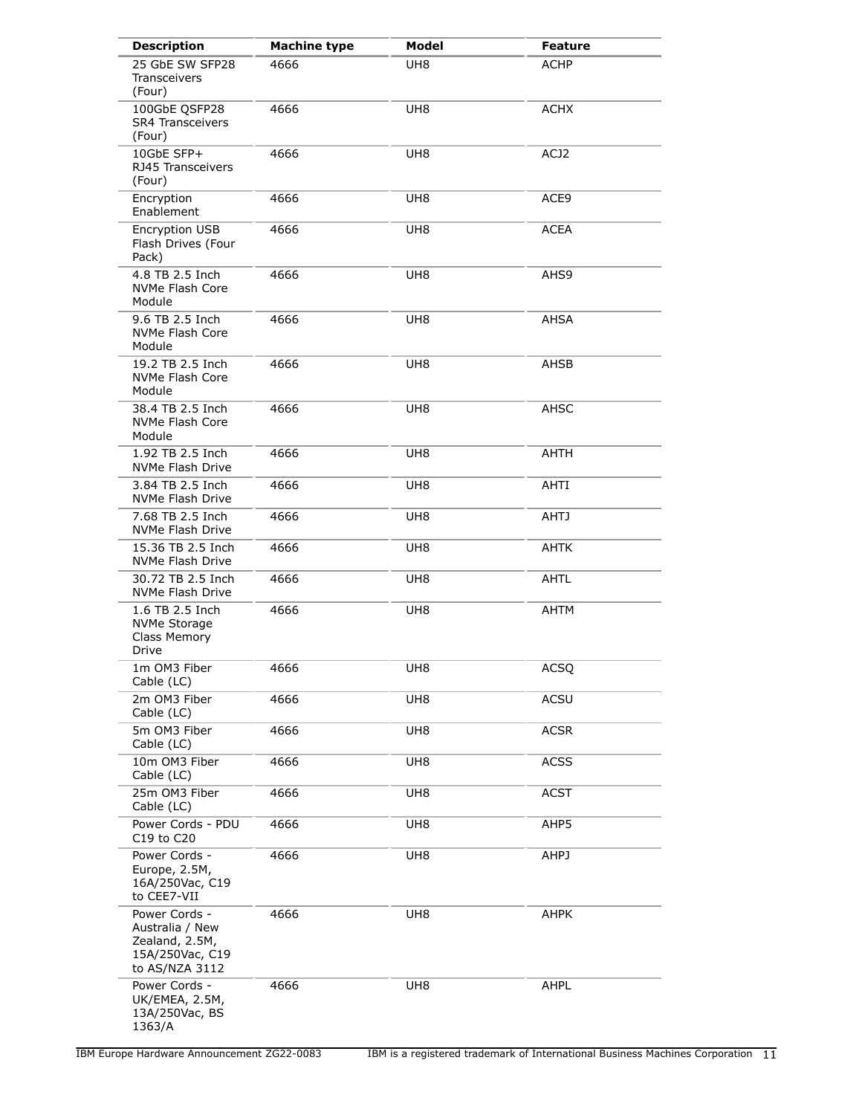| <b>Description</b>                                                                      | <b>Machine type</b> | <b>Model</b>    | <b>Feature</b> |
|-----------------------------------------------------------------------------------------|---------------------|-----------------|----------------|
| 25 GbE SW SFP28<br><b>Transceivers</b><br>(Four)                                        | 4666                | UH <sub>8</sub> | <b>ACHP</b>    |
| 100GbE QSFP28<br><b>SR4 Transceivers</b><br>(Four)                                      | 4666                | UH <sub>8</sub> | <b>ACHX</b>    |
| 10GbE SFP+<br>RJ45 Transceivers<br>(Four)                                               | 4666                | UH <sub>8</sub> | ACJ2           |
| Encryption<br>Enablement                                                                | 4666                | UH8             | ACE9           |
| Encryption USB<br>Flash Drives (Four<br>Pack)                                           | 4666                | UH <sub>8</sub> | <b>ACEA</b>    |
| 4.8 TB 2.5 Inch<br>NVMe Flash Core<br>Module                                            | 4666                | UH8             | AHS9           |
| 9.6 TB 2.5 Inch<br>NVMe Flash Core<br>Module                                            | 4666                | UH <sub>8</sub> | AHSA           |
| 19.2 TB 2.5 Inch<br>NVMe Flash Core<br>Module                                           | 4666                | UH <sub>8</sub> | AHSB           |
| 38.4 TB 2.5 Inch<br>NVMe Flash Core<br>Module                                           | 4666                | UH <sub>8</sub> | AHSC           |
| 1.92 TB 2.5 Inch<br>NVMe Flash Drive                                                    | 4666                | UH <sub>8</sub> | AHTH           |
| 3.84 TB 2.5 Inch<br>NVMe Flash Drive                                                    | 4666                | UH <sub>8</sub> | AHTI           |
| 7.68 TB 2.5 Inch<br>NVMe Flash Drive                                                    | 4666                | UH <sub>8</sub> | <b>AHTJ</b>    |
| 15.36 TB 2.5 Inch<br>NVMe Flash Drive                                                   | 4666                | UH <sub>8</sub> | <b>AHTK</b>    |
| 30.72 TB 2.5 Inch<br>NVMe Flash Drive                                                   | 4666                | UH8             | AHTL           |
| 1.6 TB 2.5 Inch<br><b>NVMe Storage</b><br>Class Memory<br><b>Drive</b>                  | 4666                | UH <sub>8</sub> | AHTM           |
| 1m OM3 Fiber<br>Cable (LC)                                                              | 4666                | UH <sub>8</sub> | ACSQ           |
| 2m OM3 Fiber<br>Cable (LC)                                                              | 4666                | UH <sub>8</sub> | ACSU           |
| 5m OM3 Fiber<br>Cable (LC)                                                              | 4666                | UH <sub>8</sub> | <b>ACSR</b>    |
| 10m OM3 Fiber<br>Cable (LC)                                                             | 4666                | UH <sub>8</sub> | <b>ACSS</b>    |
| 25m OM3 Fiber<br>Cable (LC)                                                             | 4666                | UH <sub>8</sub> | <b>ACST</b>    |
| Power Cords - PDU<br>C19 to C20                                                         | 4666                | UH <sub>8</sub> | AHP5           |
| Power Cords -<br>Europe, 2.5M,<br>16A/250Vac, C19<br>to CEE7-VII                        | 4666                | UH <sub>8</sub> | AHPJ           |
| Power Cords -<br>Australia / New<br>Zealand, 2.5M,<br>15A/250Vac, C19<br>to AS/NZA 3112 | 4666                | UH <sub>8</sub> | <b>AHPK</b>    |
| Power Cords -<br>UK/EMEA, 2.5M,<br>13A/250Vac, BS<br>1363/A                             | 4666                | UH <sub>8</sub> | AHPL           |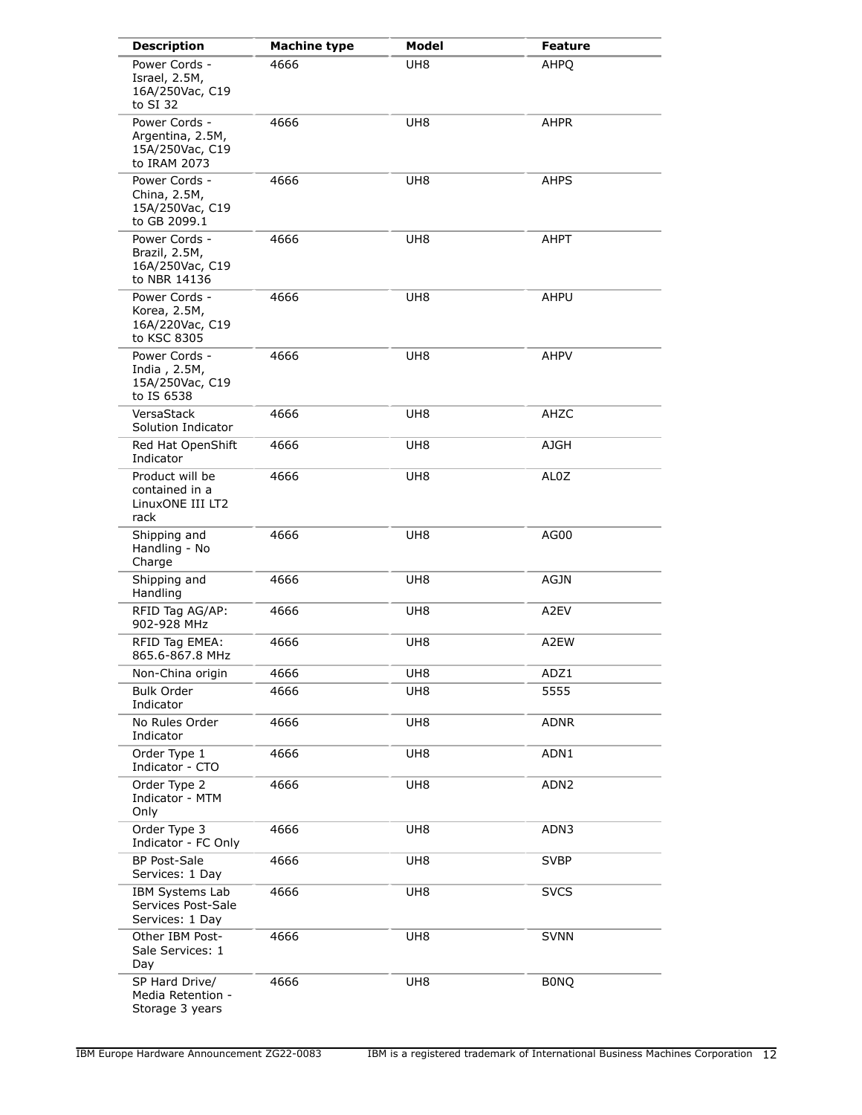| <b>Description</b>                                                   | <b>Machine type</b> | <b>Model</b>    | <b>Feature</b>   |
|----------------------------------------------------------------------|---------------------|-----------------|------------------|
| Power Cords -<br>Israel, 2.5M,<br>16A/250Vac, C19<br>to SI 32        | 4666                | UH <sub>8</sub> | AHPO             |
| Power Cords -<br>Argentina, 2.5M,<br>15A/250Vac, C19<br>to IRAM 2073 | 4666                | UH8             | AHPR             |
| Power Cords -<br>China, 2.5M,<br>15A/250Vac, C19<br>to GB 2099.1     | 4666                | UH <sub>8</sub> | AHPS             |
| Power Cords -<br>Brazil, 2.5M,<br>16A/250Vac, C19<br>to NBR 14136    | 4666                | UH <sub>8</sub> | AHPT             |
| Power Cords -<br>Korea, 2.5M,<br>16A/220Vac, C19<br>to KSC 8305      | 4666                | UH <sub>8</sub> | AHPU             |
| Power Cords -<br>India, 2.5M,<br>15A/250Vac, C19<br>to IS 6538       | 4666                | UH <sub>8</sub> | <b>AHPV</b>      |
| VersaStack<br>Solution Indicator                                     | 4666                | UH <sub>8</sub> | AHZC             |
| Red Hat OpenShift<br>Indicator                                       | 4666                | UH <sub>8</sub> | AJGH             |
| Product will be<br>contained in a<br>LinuxONE III LT2<br>rack        | 4666                | UH8             | AL0Z             |
| Shipping and<br>Handling - No<br>Charge                              | 4666                | UH <sub>8</sub> | AG00             |
| Shipping and<br>Handling                                             | 4666                | UH8             | AGJN             |
| RFID Tag AG/AP:<br>902-928 MHz                                       | 4666                | UH8             | A2EV             |
| RFID Tag EMEA:<br>865.6-867.8 MHz                                    | 4666                | UH <sub>8</sub> | A2EW             |
| Non-China origin                                                     | 4666                | UH8             | ADZ1             |
| <b>Bulk Order</b><br>Indicator                                       | 4666                | UH <sub>8</sub> | 5555             |
| No Rules Order<br>Indicator                                          | 4666                | UH <sub>8</sub> | ADNR             |
| Order Type 1<br>Indicator - CTO                                      | 4666                | UH <sub>8</sub> | ADN1             |
| Order Type 2<br>Indicator - MTM<br>Only                              | 4666                | UH <sub>8</sub> | ADN <sub>2</sub> |
| Order Type 3<br>Indicator - FC Only                                  | 4666                | UH <sub>8</sub> | ADN3             |
| <b>BP Post-Sale</b><br>Services: 1 Day                               | 4666                | UH <sub>8</sub> | <b>SVBP</b>      |
| IBM Systems Lab<br>Services Post-Sale<br>Services: 1 Day             | 4666                | UH8             | <b>SVCS</b>      |
| Other IBM Post-<br>Sale Services: 1<br>Day                           | 4666                | UH <sub>8</sub> | <b>SVNN</b>      |
| SP Hard Drive/<br>Media Retention -<br>Storage 3 years               | 4666                | UH <sub>8</sub> | <b>BONQ</b>      |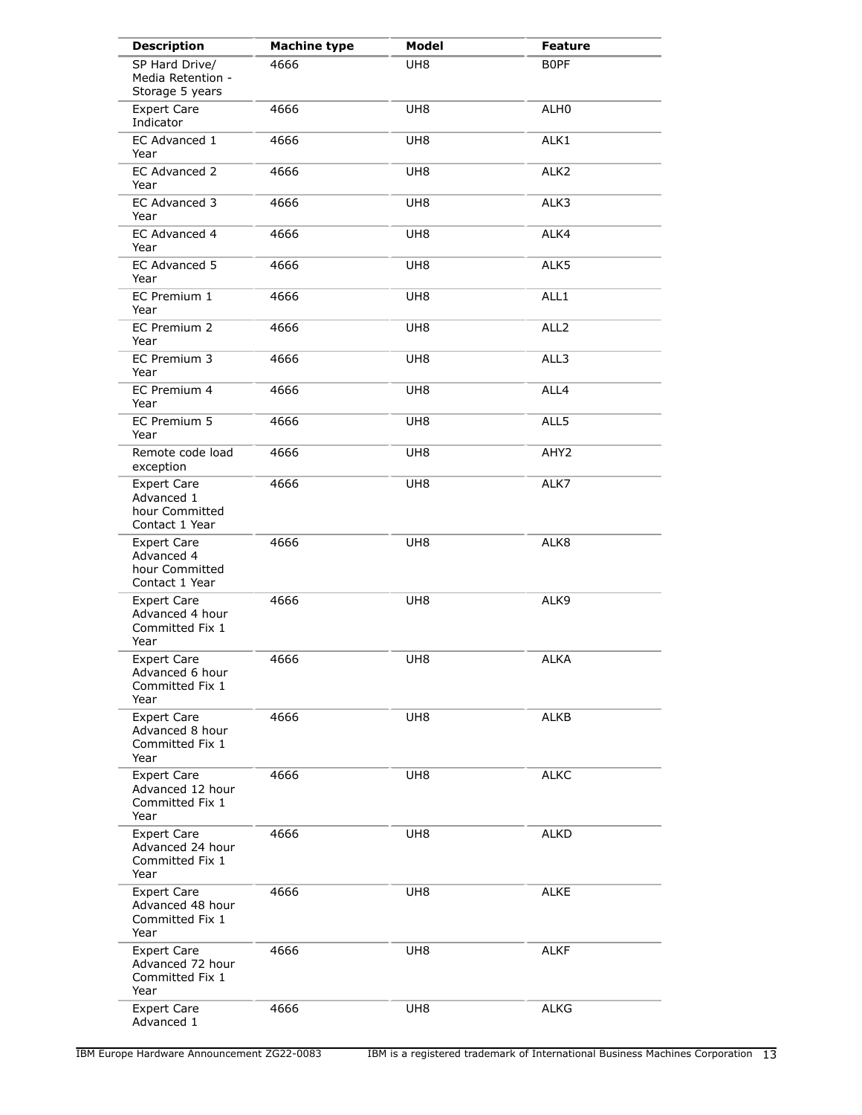| <b>Description</b>                                                   | <b>Machine type</b> | Model           | <b>Feature</b>   |
|----------------------------------------------------------------------|---------------------|-----------------|------------------|
| SP Hard Drive/<br>Media Retention -<br>Storage 5 years               | 4666                | UH8             | <b>BOPF</b>      |
| <b>Expert Care</b><br>Indicator                                      | 4666                | UH <sub>8</sub> | ALH <sub>0</sub> |
| EC Advanced 1<br>Year                                                | 4666                | UH <sub>8</sub> | ALK1             |
| EC Advanced 2<br>Year                                                | 4666                | UH8             | ALK <sub>2</sub> |
| EC Advanced 3<br>Year                                                | 4666                | UH <sub>8</sub> | ALK3             |
| EC Advanced 4<br>Year                                                | 4666                | UH <sub>8</sub> | ALK4             |
| EC Advanced 5<br>Year                                                | 4666                | UH8             | ALK5             |
| EC Premium 1<br>Year                                                 | 4666                | UH8             | ALL1             |
| EC Premium 2<br>Year                                                 | 4666                | UH <sub>8</sub> | ALL <sub>2</sub> |
| EC Premium 3<br>Year                                                 | 4666                | UH <sub>8</sub> | ALL3             |
| EC Premium 4<br>Year                                                 | 4666                | UH <sub>8</sub> | ALL4             |
| EC Premium 5<br>Year                                                 | 4666                | UH <sub>8</sub> | ALL5             |
| Remote code load<br>exception                                        | 4666                | UH <sub>8</sub> | AHY <sub>2</sub> |
| <b>Expert Care</b><br>Advanced 1<br>hour Committed<br>Contact 1 Year | 4666                | UH <sub>8</sub> | ALK7             |
| <b>Expert Care</b><br>Advanced 4<br>hour Committed<br>Contact 1 Year | 4666                | UH <sub>8</sub> | ALK8             |
| <b>Expert Care</b><br>Advanced 4 hour<br>Committed Fix 1<br>Year     | 4666                | UH <sub>8</sub> | ALK9             |
| <b>Expert Care</b><br>Advanced 6 hour<br>Committed Fix 1<br>Year     | 4666                | UH <sub>8</sub> | <b>ALKA</b>      |
| <b>Expert Care</b><br>Advanced 8 hour<br>Committed Fix 1<br>Year     | 4666                | UH <sub>8</sub> | <b>ALKB</b>      |
| <b>Expert Care</b><br>Advanced 12 hour<br>Committed Fix 1<br>Year    | 4666                | UH <sub>8</sub> | <b>ALKC</b>      |
| <b>Expert Care</b><br>Advanced 24 hour<br>Committed Fix 1<br>Year    | 4666                | UH8             | <b>ALKD</b>      |
| <b>Expert Care</b><br>Advanced 48 hour<br>Committed Fix 1<br>Year    | 4666                | UH <sub>8</sub> | <b>ALKE</b>      |
| <b>Expert Care</b><br>Advanced 72 hour<br>Committed Fix 1<br>Year    | 4666                | UH8             | <b>ALKF</b>      |
| <b>Expert Care</b><br>Advanced 1                                     | 4666                | UH8             | <b>ALKG</b>      |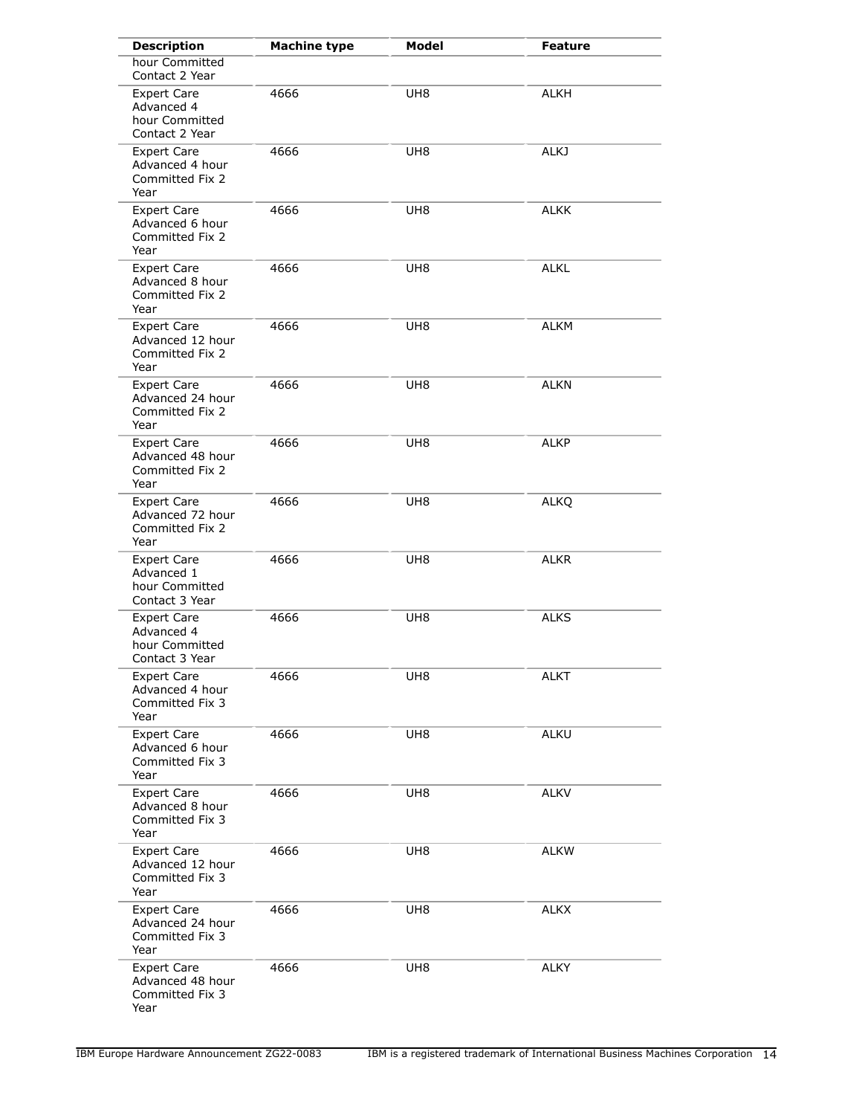| <b>Description</b>                                                   | <b>Machine type</b> | <b>Model</b>    | <b>Feature</b> |
|----------------------------------------------------------------------|---------------------|-----------------|----------------|
| hour Committed<br>Contact 2 Year                                     |                     |                 |                |
| <b>Expert Care</b><br>Advanced 4<br>hour Committed<br>Contact 2 Year | 4666                | UH <sub>8</sub> | <b>ALKH</b>    |
| <b>Expert Care</b><br>Advanced 4 hour<br>Committed Fix 2<br>Year     | 4666                | UH <sub>8</sub> | <b>ALKJ</b>    |
| <b>Expert Care</b><br>Advanced 6 hour<br>Committed Fix 2<br>Year     | 4666                | UH <sub>8</sub> | <b>ALKK</b>    |
| <b>Expert Care</b><br>Advanced 8 hour<br>Committed Fix 2<br>Year     | 4666                | UH <sub>8</sub> | <b>ALKL</b>    |
| <b>Expert Care</b><br>Advanced 12 hour<br>Committed Fix 2<br>Year    | 4666                | UH <sub>8</sub> | <b>ALKM</b>    |
| <b>Expert Care</b><br>Advanced 24 hour<br>Committed Fix 2<br>Year    | 4666                | UH8             | <b>ALKN</b>    |
| <b>Expert Care</b><br>Advanced 48 hour<br>Committed Fix 2<br>Year    | 4666                | UH <sub>8</sub> | ALKP           |
| <b>Expert Care</b><br>Advanced 72 hour<br>Committed Fix 2<br>Year    | 4666                | UH <sub>8</sub> | <b>ALKQ</b>    |
| <b>Expert Care</b><br>Advanced 1<br>hour Committed<br>Contact 3 Year | 4666                | UH <sub>8</sub> | ALKR           |
| <b>Expert Care</b><br>Advanced 4<br>hour Committed<br>Contact 3 Year | 4666                | UH <sub>8</sub> | <b>ALKS</b>    |
| <b>Expert Care</b><br>Advanced 4 hour<br>Committed Fix 3<br>Year     | 4666                | UH <sub>8</sub> | <b>ALKT</b>    |
| <b>Expert Care</b><br>Advanced 6 hour<br>Committed Fix 3<br>Year     | 4666                | UH <sub>8</sub> | ALKU           |
| <b>Expert Care</b><br>Advanced 8 hour<br>Committed Fix 3<br>Year     | 4666                | UH <sub>8</sub> | <b>ALKV</b>    |
| <b>Expert Care</b><br>Advanced 12 hour<br>Committed Fix 3<br>Year    | 4666                | UH <sub>8</sub> | <b>ALKW</b>    |
| <b>Expert Care</b><br>Advanced 24 hour<br>Committed Fix 3<br>Year    | 4666                | UH <sub>8</sub> | <b>ALKX</b>    |
| <b>Expert Care</b><br>Advanced 48 hour<br>Committed Fix 3<br>Year    | 4666                | UH8             | <b>ALKY</b>    |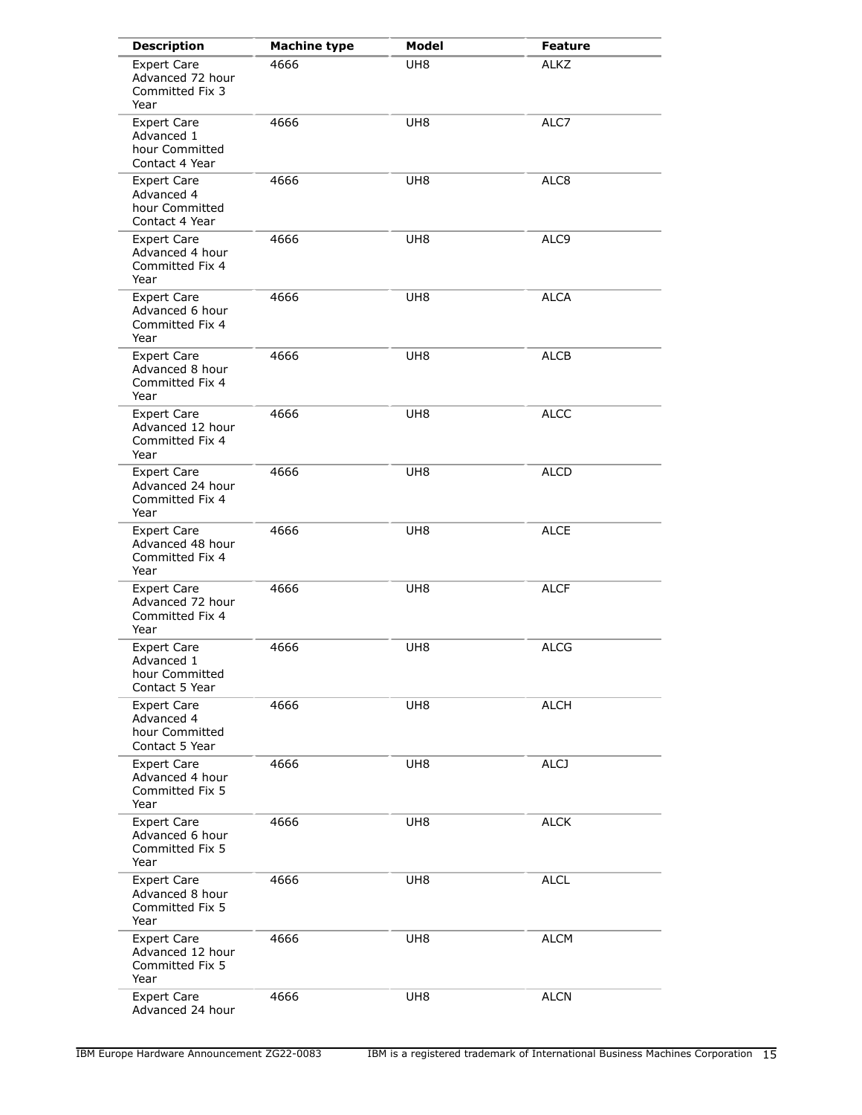| <b>Description</b>                                                   | <b>Machine type</b> | Model           | <b>Feature</b>   |
|----------------------------------------------------------------------|---------------------|-----------------|------------------|
| <b>Expert Care</b><br>Advanced 72 hour<br>Committed Fix 3<br>Year    | 4666                | UH <sub>8</sub> | <b>ALKZ</b>      |
| <b>Expert Care</b><br>Advanced 1<br>hour Committed<br>Contact 4 Year | 4666                | UH <sub>8</sub> | ALC7             |
| <b>Expert Care</b><br>Advanced 4<br>hour Committed<br>Contact 4 Year | 4666                | UH <sub>8</sub> | ALC8             |
| <b>Expert Care</b><br>Advanced 4 hour<br>Committed Fix 4<br>Year     | 4666                | UH <sub>8</sub> | ALC <sub>9</sub> |
| <b>Expert Care</b><br>Advanced 6 hour<br>Committed Fix 4<br>Year     | 4666                | UH <sub>8</sub> | <b>ALCA</b>      |
| <b>Expert Care</b><br>Advanced 8 hour<br>Committed Fix 4<br>Year     | 4666                | UH <sub>8</sub> | <b>ALCB</b>      |
| <b>Expert Care</b><br>Advanced 12 hour<br>Committed Fix 4<br>Year    | 4666                | UH <sub>8</sub> | <b>ALCC</b>      |
| <b>Expert Care</b><br>Advanced 24 hour<br>Committed Fix 4<br>Year    | 4666                | UH <sub>8</sub> | <b>ALCD</b>      |
| <b>Expert Care</b><br>Advanced 48 hour<br>Committed Fix 4<br>Year    | 4666                | UH <sub>8</sub> | <b>ALCE</b>      |
| <b>Expert Care</b><br>Advanced 72 hour<br>Committed Fix 4<br>Year    | 4666                | UH <sub>8</sub> | <b>ALCF</b>      |
| <b>Expert Care</b><br>Advanced 1<br>hour Committed<br>Contact 5 Year | 4666                | UH <sub>8</sub> | <b>ALCG</b>      |
| <b>Expert Care</b><br>Advanced 4<br>hour Committed<br>Contact 5 Year | 4666                | UH <sub>8</sub> | <b>ALCH</b>      |
| <b>Expert Care</b><br>Advanced 4 hour<br>Committed Fix 5<br>Year     | 4666                | UH8             | <b>ALCJ</b>      |
| <b>Expert Care</b><br>Advanced 6 hour<br>Committed Fix 5<br>Year     | 4666                | UH <sub>8</sub> | ALCK             |
| <b>Expert Care</b><br>Advanced 8 hour<br>Committed Fix 5<br>Year     | 4666                | UH8             | ALCL             |
| <b>Expert Care</b><br>Advanced 12 hour<br>Committed Fix 5<br>Year    | 4666                | UH <sub>8</sub> | <b>ALCM</b>      |
| <b>Expert Care</b><br>Advanced 24 hour                               | 4666                | UH <sub>8</sub> | <b>ALCN</b>      |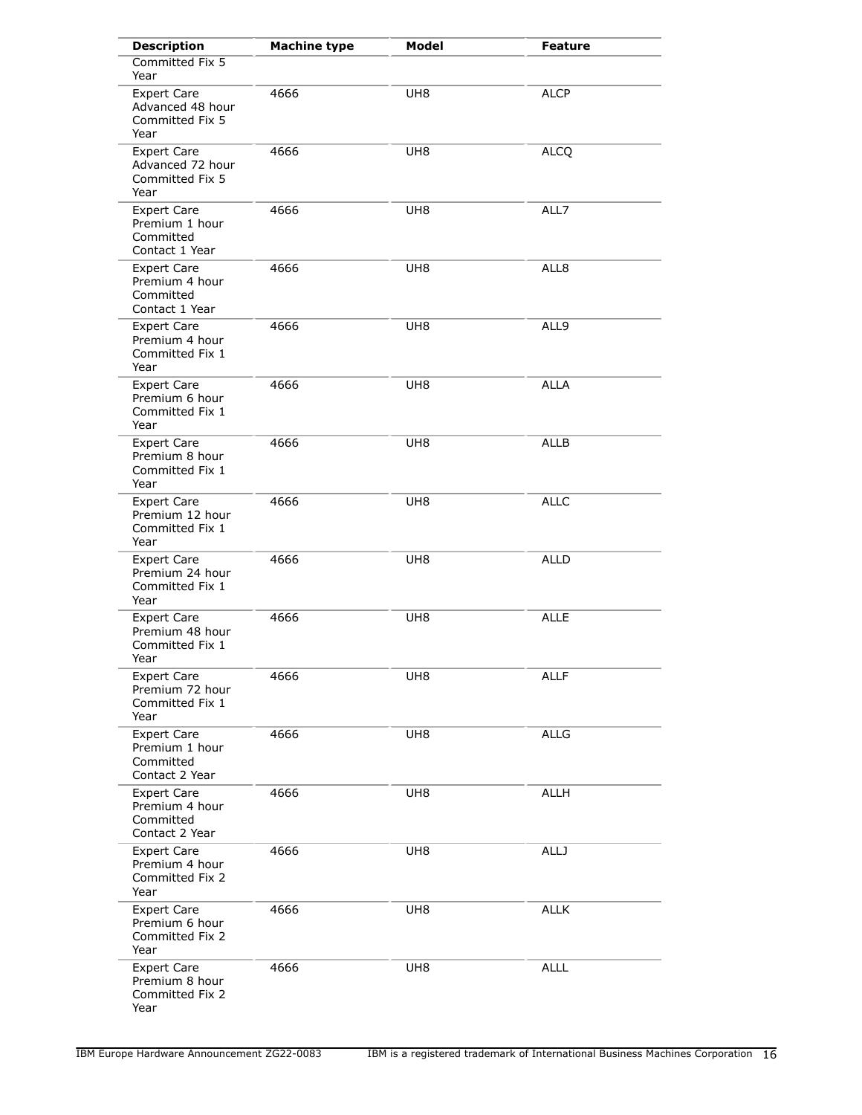| <b>Description</b>                                                  | <b>Machine type</b> | <b>Model</b>    | Feature     |
|---------------------------------------------------------------------|---------------------|-----------------|-------------|
| Committed Fix 5<br>Year                                             |                     |                 |             |
| <b>Expert Care</b><br>Advanced 48 hour<br>Committed Fix 5<br>Year   | 4666                | UH <sub>8</sub> | <b>ALCP</b> |
| <b>Expert Care</b><br>Advanced 72 hour<br>Committed Fix 5<br>Year   | 4666                | UH <sub>8</sub> | <b>ALCQ</b> |
| Expert Care<br>Premium 1 hour<br>Committed<br>Contact 1 Year        | 4666                | UH <sub>8</sub> | ALL7        |
| <b>Expert Care</b><br>Premium 4 hour<br>Committed<br>Contact 1 Year | 4666                | UH <sub>8</sub> | ALL8        |
| <b>Expert Care</b><br>Premium 4 hour<br>Committed Fix 1<br>Year     | 4666                | UH <sub>8</sub> | ALL9        |
| <b>Expert Care</b><br>Premium 6 hour<br>Committed Fix 1<br>Year     | 4666                | UH <sub>8</sub> | <b>ALLA</b> |
| <b>Expert Care</b><br>Premium 8 hour<br>Committed Fix 1<br>Year     | 4666                | UH8             | ALLB        |
| <b>Expert Care</b><br>Premium 12 hour<br>Committed Fix 1<br>Year    | 4666                | UH <sub>8</sub> | <b>ALLC</b> |
| <b>Expert Care</b><br>Premium 24 hour<br>Committed Fix 1<br>Year    | 4666                | UH <sub>8</sub> | <b>ALLD</b> |
| <b>Expert Care</b><br>Premium 48 hour<br>Committed Fix 1<br>Year    | 4666                | UH <sub>8</sub> | <b>ALLE</b> |
| <b>Expert Care</b><br>Premium 72 hour<br>Committed Fix 1<br>Year    | 4666                | UH <sub>8</sub> | <b>ALLF</b> |
| <b>Expert Care</b><br>Premium 1 hour<br>Committed<br>Contact 2 Year | 4666                | UH <sub>8</sub> | <b>ALLG</b> |
| <b>Expert Care</b><br>Premium 4 hour<br>Committed<br>Contact 2 Year | 4666                | UH <sub>8</sub> | ALLH        |
| <b>Expert Care</b><br>Premium 4 hour<br>Committed Fix 2<br>Year     | 4666                | UH <sub>8</sub> | <b>ALLJ</b> |
| <b>Expert Care</b><br>Premium 6 hour<br>Committed Fix 2<br>Year     | 4666                | UH8             | <b>ALLK</b> |
| <b>Expert Care</b><br>Premium 8 hour<br>Committed Fix 2<br>Year     | 4666                | UH8             | <b>ALLL</b> |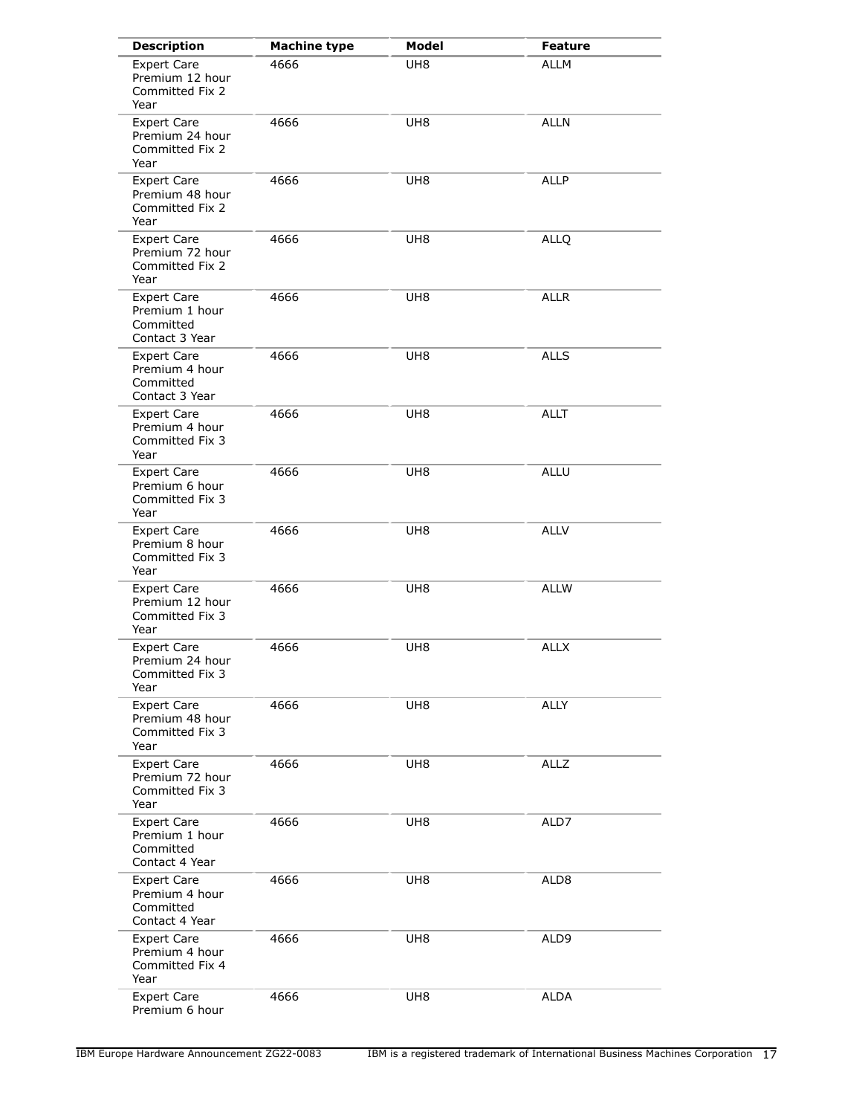| <b>Description</b>                                                  | <b>Machine type</b> | Model           | <b>Feature</b> |
|---------------------------------------------------------------------|---------------------|-----------------|----------------|
| <b>Expert Care</b><br>Premium 12 hour<br>Committed Fix 2<br>Year    | 4666                | UH8             | <b>ALLM</b>    |
| <b>Expert Care</b><br>Premium 24 hour<br>Committed Fix 2<br>Year    | 4666                | UH <sub>8</sub> | <b>ALLN</b>    |
| <b>Expert Care</b><br>Premium 48 hour<br>Committed Fix 2<br>Year    | 4666                | UH <sub>8</sub> | <b>ALLP</b>    |
| <b>Expert Care</b><br>Premium 72 hour<br>Committed Fix 2<br>Year    | 4666                | UH8             | <b>ALLQ</b>    |
| <b>Expert Care</b><br>Premium 1 hour<br>Committed<br>Contact 3 Year | 4666                | UH <sub>8</sub> | <b>ALLR</b>    |
| <b>Expert Care</b><br>Premium 4 hour<br>Committed<br>Contact 3 Year | 4666                | UH <sub>8</sub> | <b>ALLS</b>    |
| <b>Expert Care</b><br>Premium 4 hour<br>Committed Fix 3<br>Year     | 4666                | UH <sub>8</sub> | <b>ALLT</b>    |
| <b>Expert Care</b><br>Premium 6 hour<br>Committed Fix 3<br>Year     | 4666                | UH <sub>8</sub> | <b>ALLU</b>    |
| <b>Expert Care</b><br>Premium 8 hour<br>Committed Fix 3<br>Year     | 4666                | UH <sub>8</sub> | <b>ALLV</b>    |
| <b>Expert Care</b><br>Premium 12 hour<br>Committed Fix 3<br>Year    | 4666                | UH <sub>8</sub> | <b>ALLW</b>    |
| <b>Expert Care</b><br>Premium 24 hour<br>Committed Fix 3<br>Year    | 4666                | UH <sub>8</sub> | <b>ALLX</b>    |
| <b>Expert Care</b><br>Premium 48 hour<br>Committed Fix 3<br>Year    | 4666                | UH <sub>8</sub> | <b>ALLY</b>    |
| <b>Expert Care</b><br>Premium 72 hour<br>Committed Fix 3<br>Year    | 4666                | UH <sub>8</sub> | <b>ALLZ</b>    |
| <b>Expert Care</b><br>Premium 1 hour<br>Committed<br>Contact 4 Year | 4666                | UH8             | ALD7           |
| Expert Care<br>Premium 4 hour<br>Committed<br>Contact 4 Year        | 4666                | UH8             | ALD8           |
| <b>Expert Care</b><br>Premium 4 hour<br>Committed Fix 4<br>Year     | 4666                | UH <sub>8</sub> | ALD9           |
| <b>Expert Care</b><br>Premium 6 hour                                | 4666                | UH <sub>8</sub> | <b>ALDA</b>    |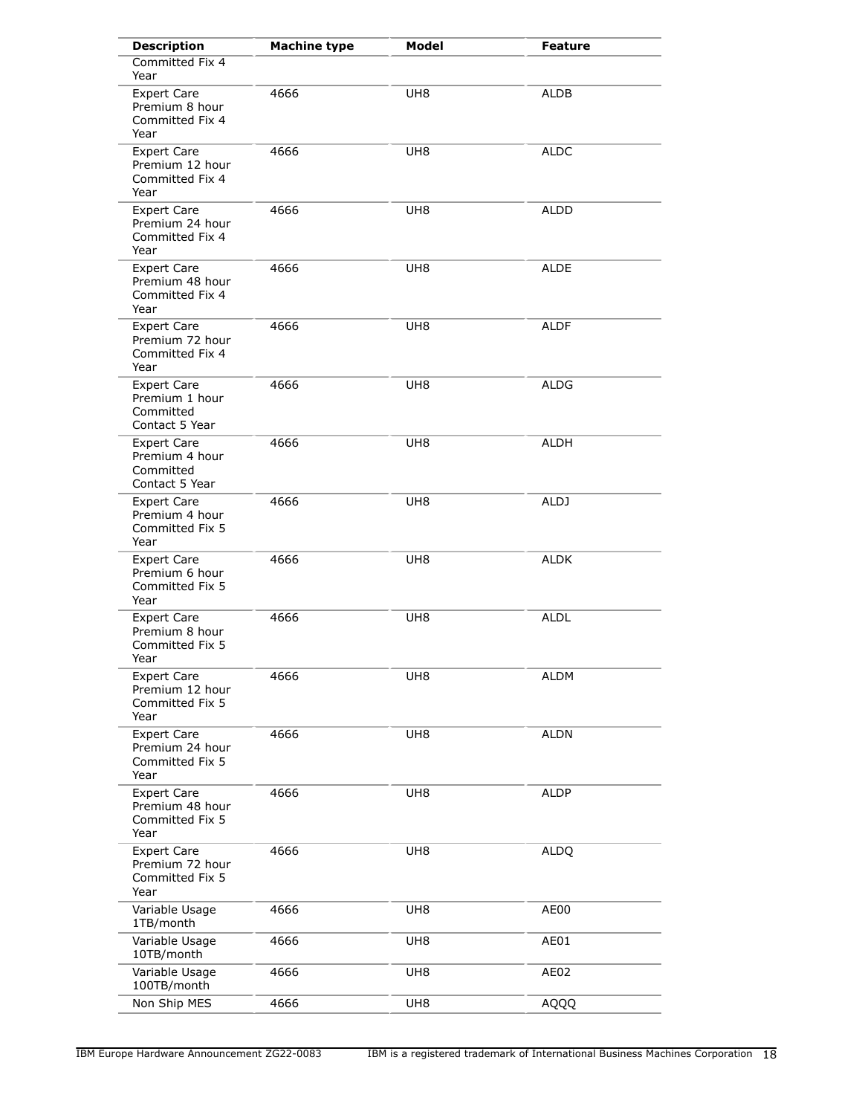| <b>Description</b>                                                  | <b>Machine type</b> | Model           | <b>Feature</b> |
|---------------------------------------------------------------------|---------------------|-----------------|----------------|
| Committed Fix 4<br>Year                                             |                     |                 |                |
| <b>Expert Care</b><br>Premium 8 hour<br>Committed Fix 4<br>Year     | 4666                | UH <sub>8</sub> | <b>ALDB</b>    |
| <b>Expert Care</b><br>Premium 12 hour<br>Committed Fix 4<br>Year    | 4666                | UH <sub>8</sub> | <b>ALDC</b>    |
| <b>Expert Care</b><br>Premium 24 hour<br>Committed Fix 4<br>Year    | 4666                | UH <sub>8</sub> | <b>ALDD</b>    |
| <b>Expert Care</b><br>Premium 48 hour<br>Committed Fix 4<br>Year    | 4666                | UH <sub>8</sub> | <b>ALDE</b>    |
| <b>Expert Care</b><br>Premium 72 hour<br>Committed Fix 4<br>Year    | 4666                | UH <sub>8</sub> | <b>ALDF</b>    |
| <b>Expert Care</b><br>Premium 1 hour<br>Committed<br>Contact 5 Year | 4666                | UH <sub>8</sub> | <b>ALDG</b>    |
| <b>Expert Care</b><br>Premium 4 hour<br>Committed<br>Contact 5 Year | 4666                | UH8             | ALDH           |
| <b>Expert Care</b><br>Premium 4 hour<br>Committed Fix 5<br>Year     | 4666                | UH8             | ALDJ           |
| <b>Expert Care</b><br>Premium 6 hour<br>Committed Fix 5<br>Year     | 4666                | UH <sub>8</sub> | ALDK           |
| <b>Expert Care</b><br>Premium 8 hour<br>Committed Fix 5<br>Year     | 4666                | UH <sub>8</sub> | <b>ALDL</b>    |
| <b>Expert Care</b><br>Premium 12 hour<br>Committed Fix 5<br>Year    | 4666                | UH8             | <b>ALDM</b>    |
| <b>Expert Care</b><br>Premium 24 hour<br>Committed Fix 5<br>Year    | 4666                | UH <sub>8</sub> | <b>ALDN</b>    |
| <b>Expert Care</b><br>Premium 48 hour<br>Committed Fix 5<br>Year    | 4666                | UH8             | <b>ALDP</b>    |
| <b>Expert Care</b><br>Premium 72 hour<br>Committed Fix 5<br>Year    | 4666                | UH8             | <b>ALDQ</b>    |
| Variable Usage<br>1TB/month                                         | 4666                | UH8             | AE00           |
| Variable Usage<br>10TB/month                                        | 4666                | UH8             | AE01           |
| Variable Usage<br>100TB/month                                       | 4666                | UH8             | AE02           |
| Non Ship MES                                                        | 4666                | UH8             | AQQQ           |